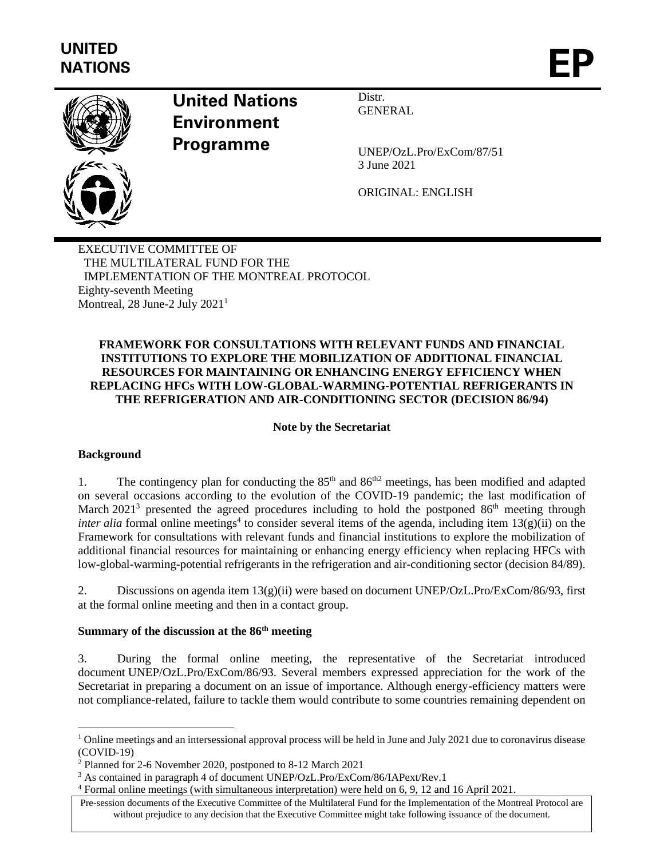

## **United Nations Environment Programme**

Distr. **GENERAL** 

UNEP/OzL.Pro/ExCom/87/51 3 June 2021

ORIGINAL: ENGLISH

EXECUTIVE COMMITTEE OF THE MULTILATERAL FUND FOR THE IMPLEMENTATION OF THE MONTREAL PROTOCOL Eighty-seventh Meeting Montreal,  $28$  June-2 July  $2021<sup>1</sup>$ 

## **FRAMEWORK FOR CONSULTATIONS WITH RELEVANT FUNDS AND FINANCIAL INSTITUTIONS TO EXPLORE THE MOBILIZATION OF ADDITIONAL FINANCIAL RESOURCES FOR MAINTAINING OR ENHANCING ENERGY EFFICIENCY WHEN REPLACING HFCs WITH LOW-GLOBAL-WARMING-POTENTIAL REFRIGERANTS IN THE REFRIGERATION AND AIR-CONDITIONING SECTOR (DECISION 86/94)**

## **Note by the Secretariat**

#### **Background**

1. The contingency plan for conducting the  $85<sup>th</sup>$  and  $86<sup>th2</sup>$  meetings, has been modified and adapted on several occasions according to the evolution of the COVID-19 pandemic; the last modification of March  $2021^3$  presented the agreed procedures including to hold the postponed  $86<sup>th</sup>$  meeting through *inter alia* formal online meetings<sup>4</sup> to consider several items of the agenda, including item 13(g)(ii) on the Framework for consultations with relevant funds and financial institutions to explore the mobilization of additional financial resources for maintaining or enhancing energy efficiency when replacing HFCs with low-global-warming-potential refrigerants in the refrigeration and air-conditioning sector (decision 84/89).

2. Discussions on agenda item 13(g)(ii) were based on document UNEP/OzL.Pro/ExCom/86/93, first at the formal online meeting and then in a contact group.

## **Summary of the discussion at the 86th meeting**

3. During the formal online meeting, the representative of the Secretariat introduced document UNEP/OzL.Pro/ExCom/86/93. Several members expressed appreciation for the work of the Secretariat in preparing a document on an issue of importance. Although energy-efficiency matters were not compliance-related, failure to tackle them would contribute to some countries remaining dependent on

 $1$  Online meetings and an intersessional approval process will be held in June and July 2021 due to coronavirus disease (COVID-19)

<sup>2</sup> Planned for 2-6 November 2020, postponed to 8-12 March 2021

<sup>3</sup> As contained in paragraph 4 of document UNEP/OzL.Pro/ExCom/86/IAPext/Rev.1

<sup>4</sup> Formal online meetings (with simultaneous interpretation) were held on 6, 9, 12 and 16 April 2021.

Pre-session documents of the Executive Committee of the Multilateral Fund for the Implementation of the Montreal Protocol are without prejudice to any decision that the Executive Committee might take following issuance of the document.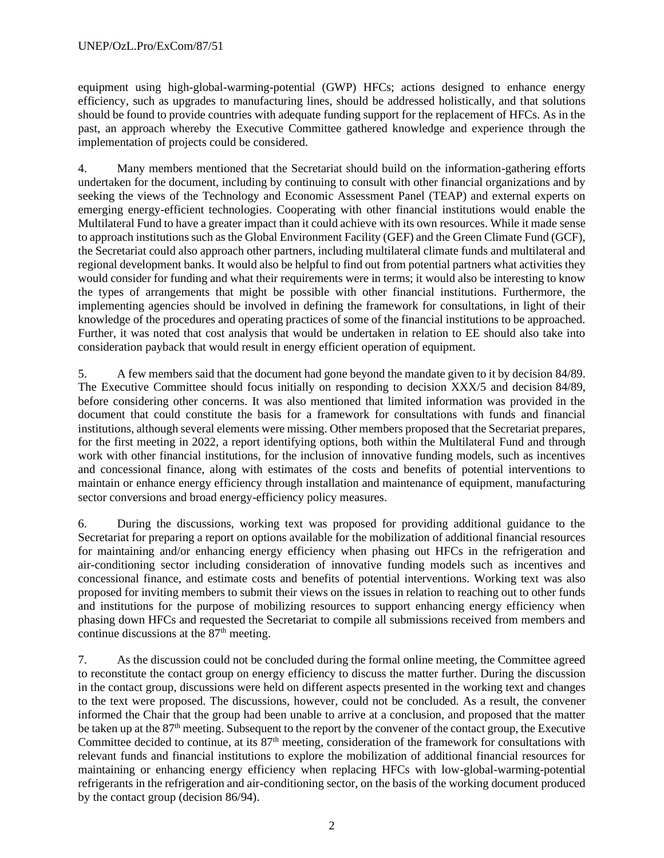equipment using high-global-warming-potential (GWP) HFCs; actions designed to enhance energy efficiency, such as upgrades to manufacturing lines, should be addressed holistically, and that solutions should be found to provide countries with adequate funding support for the replacement of HFCs. As in the past, an approach whereby the Executive Committee gathered knowledge and experience through the implementation of projects could be considered.

4. Many members mentioned that the Secretariat should build on the information-gathering efforts undertaken for the document, including by continuing to consult with other financial organizations and by seeking the views of the Technology and Economic Assessment Panel (TEAP) and external experts on emerging energy-efficient technologies. Cooperating with other financial institutions would enable the Multilateral Fund to have a greater impact than it could achieve with its own resources. While it made sense to approach institutions such as the Global Environment Facility (GEF) and the Green Climate Fund (GCF), the Secretariat could also approach other partners, including multilateral climate funds and multilateral and regional development banks. It would also be helpful to find out from potential partners what activities they would consider for funding and what their requirements were in terms; it would also be interesting to know the types of arrangements that might be possible with other financial institutions. Furthermore, the implementing agencies should be involved in defining the framework for consultations, in light of their knowledge of the procedures and operating practices of some of the financial institutions to be approached. Further, it was noted that cost analysis that would be undertaken in relation to EE should also take into consideration payback that would result in energy efficient operation of equipment.

5. A few members said that the document had gone beyond the mandate given to it by decision 84/89. The Executive Committee should focus initially on responding to decision XXX/5 and decision 84/89, before considering other concerns. It was also mentioned that limited information was provided in the document that could constitute the basis for a framework for consultations with funds and financial institutions, although several elements were missing. Other members proposed that the Secretariat prepares, for the first meeting in 2022, a report identifying options, both within the Multilateral Fund and through work with other financial institutions, for the inclusion of innovative funding models, such as incentives and concessional finance, along with estimates of the costs and benefits of potential interventions to maintain or enhance energy efficiency through installation and maintenance of equipment, manufacturing sector conversions and broad energy-efficiency policy measures.

6. During the discussions, working text was proposed for providing additional guidance to the Secretariat for preparing a report on options available for the mobilization of additional financial resources for maintaining and/or enhancing energy efficiency when phasing out HFCs in the refrigeration and air-conditioning sector including consideration of innovative funding models such as incentives and concessional finance, and estimate costs and benefits of potential interventions. Working text was also proposed for inviting members to submit their views on the issues in relation to reaching out to other funds and institutions for the purpose of mobilizing resources to support enhancing energy efficiency when phasing down HFCs and requested the Secretariat to compile all submissions received from members and continue discussions at the  $87<sup>th</sup>$  meeting.

7. As the discussion could not be concluded during the formal online meeting, the Committee agreed to reconstitute the contact group on energy efficiency to discuss the matter further. During the discussion in the contact group, discussions were held on different aspects presented in the working text and changes to the text were proposed. The discussions, however, could not be concluded. As a result, the convener informed the Chair that the group had been unable to arrive at a conclusion, and proposed that the matter be taken up at the 87<sup>th</sup> meeting. Subsequent to the report by the convener of the contact group, the Executive Committee decided to continue, at its  $87<sup>th</sup>$  meeting, consideration of the framework for consultations with relevant funds and financial institutions to explore the mobilization of additional financial resources for maintaining or enhancing energy efficiency when replacing HFCs with low-global-warming-potential refrigerants in the refrigeration and air-conditioning sector, on the basis of the working document produced by the contact group (decision 86/94).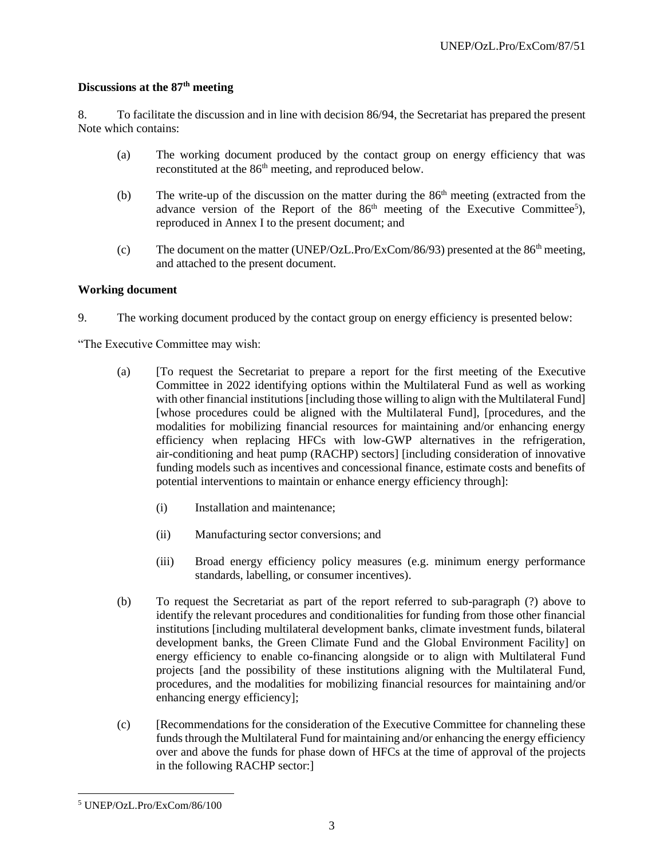## **Discussions at the 87th meeting**

8. To facilitate the discussion and in line with decision 86/94, the Secretariat has prepared the present Note which contains:

- (a) The working document produced by the contact group on energy efficiency that was reconstituted at the 86th meeting, and reproduced below.
- (b) The write-up of the discussion on the matter during the  $86<sup>th</sup>$  meeting (extracted from the advance version of the Report of the  $86<sup>th</sup>$  meeting of the Executive Committee<sup>5</sup>), reproduced in Annex I to the present document; and
- (c) The document on the matter (UNEP/OzL.Pro/ExCom/86/93) presented at the  $86<sup>th</sup>$  meeting, and attached to the present document.

#### **Working document**

9. The working document produced by the contact group on energy efficiency is presented below:

"The Executive Committee may wish:

- (a) [To request the Secretariat to prepare a report for the first meeting of the Executive Committee in 2022 identifying options within the Multilateral Fund as well as working with other financial institutions [including those willing to align with the Multilateral Fund] [whose procedures could be aligned with the Multilateral Fund], [procedures, and the modalities for mobilizing financial resources for maintaining and/or enhancing energy efficiency when replacing HFCs with low-GWP alternatives in the refrigeration, air-conditioning and heat pump (RACHP) sectors] [including consideration of innovative funding models such as incentives and concessional finance, estimate costs and benefits of potential interventions to maintain or enhance energy efficiency through]:
	- (i) Installation and maintenance;
	- (ii) Manufacturing sector conversions; and
	- (iii) Broad energy efficiency policy measures (e.g. minimum energy performance standards, labelling, or consumer incentives).
- (b) To request the Secretariat as part of the report referred to sub-paragraph (?) above to identify the relevant procedures and conditionalities for funding from those other financial institutions [including multilateral development banks, climate investment funds, bilateral development banks, the Green Climate Fund and the Global Environment Facility] on energy efficiency to enable co-financing alongside or to align with Multilateral Fund projects [and the possibility of these institutions aligning with the Multilateral Fund, procedures, and the modalities for mobilizing financial resources for maintaining and/or enhancing energy efficiency];
- (c) [Recommendations for the consideration of the Executive Committee for channeling these funds through the Multilateral Fund for maintaining and/or enhancing the energy efficiency over and above the funds for phase down of HFCs at the time of approval of the projects in the following RACHP sector:]

<sup>5</sup> UNEP/OzL.Pro/ExCom/86/100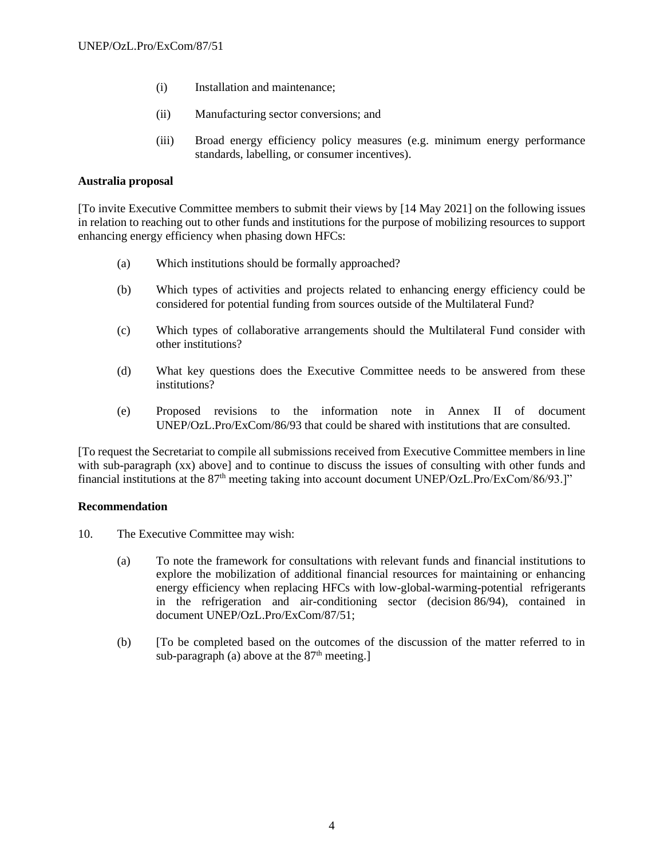- (i) Installation and maintenance;
- (ii) Manufacturing sector conversions; and
- (iii) Broad energy efficiency policy measures (e.g. minimum energy performance standards, labelling, or consumer incentives).

#### **Australia proposal**

[To invite Executive Committee members to submit their views by [14 May 2021] on the following issues in relation to reaching out to other funds and institutions for the purpose of mobilizing resources to support enhancing energy efficiency when phasing down HFCs:

- (a) Which institutions should be formally approached?
- (b) Which types of activities and projects related to enhancing energy efficiency could be considered for potential funding from sources outside of the Multilateral Fund?
- (c) Which types of collaborative arrangements should the Multilateral Fund consider with other institutions?
- (d) What key questions does the Executive Committee needs to be answered from these institutions?
- (e) Proposed revisions to the information note in Annex II of document UNEP/OzL.Pro/ExCom/86/93 that could be shared with institutions that are consulted.

[To request the Secretariat to compile all submissions received from Executive Committee members in line with sub-paragraph (xx) above] and to continue to discuss the issues of consulting with other funds and financial institutions at the  $87<sup>th</sup>$  meeting taking into account document UNEP/OzL.Pro/ExCom/86/93.]"

#### **Recommendation**

- 10. The Executive Committee may wish:
	- (a) To note the framework for consultations with relevant funds and financial institutions to explore the mobilization of additional financial resources for maintaining or enhancing energy efficiency when replacing HFCs with low-global-warming-potential refrigerants in the refrigeration and air-conditioning sector (decision 86/94), contained in document UNEP/OzL.Pro/ExCom/87/51;
	- (b) [To be completed based on the outcomes of the discussion of the matter referred to in sub-paragraph (a) above at the  $87<sup>th</sup>$  meeting.]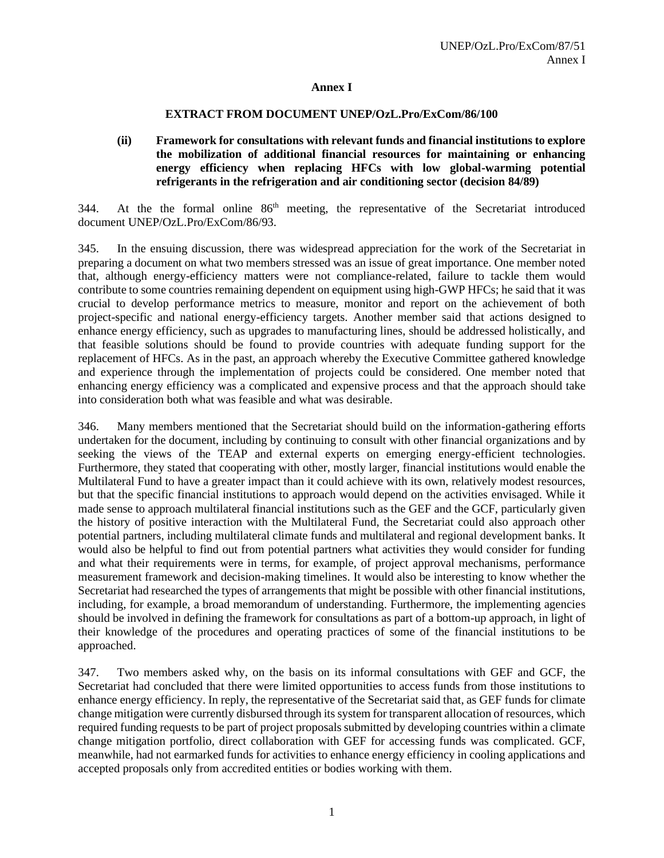#### **Annex I**

#### **EXTRACT FROM DOCUMENT UNEP/OzL.Pro/ExCom/86/100**

#### **(ii) Framework for consultations with relevant funds and financial institutions to explore the mobilization of additional financial resources for maintaining or enhancing energy efficiency when replacing HFCs with low global-warming potential refrigerants in the refrigeration and air conditioning sector (decision 84/89)**

344. At the the formal online  $86<sup>th</sup>$  meeting, the representative of the Secretariat introduced document UNEP/OzL.Pro/ExCom/86/93.

345. In the ensuing discussion, there was widespread appreciation for the work of the Secretariat in preparing a document on what two members stressed was an issue of great importance. One member noted that, although energy-efficiency matters were not compliance-related, failure to tackle them would contribute to some countries remaining dependent on equipment using high-GWP HFCs; he said that it was crucial to develop performance metrics to measure, monitor and report on the achievement of both project-specific and national energy-efficiency targets. Another member said that actions designed to enhance energy efficiency, such as upgrades to manufacturing lines, should be addressed holistically, and that feasible solutions should be found to provide countries with adequate funding support for the replacement of HFCs. As in the past, an approach whereby the Executive Committee gathered knowledge and experience through the implementation of projects could be considered. One member noted that enhancing energy efficiency was a complicated and expensive process and that the approach should take into consideration both what was feasible and what was desirable.

346. Many members mentioned that the Secretariat should build on the information-gathering efforts undertaken for the document, including by continuing to consult with other financial organizations and by seeking the views of the TEAP and external experts on emerging energy-efficient technologies. Furthermore, they stated that cooperating with other, mostly larger, financial institutions would enable the Multilateral Fund to have a greater impact than it could achieve with its own, relatively modest resources, but that the specific financial institutions to approach would depend on the activities envisaged. While it made sense to approach multilateral financial institutions such as the GEF and the GCF, particularly given the history of positive interaction with the Multilateral Fund, the Secretariat could also approach other potential partners, including multilateral climate funds and multilateral and regional development banks. It would also be helpful to find out from potential partners what activities they would consider for funding and what their requirements were in terms, for example, of project approval mechanisms, performance measurement framework and decision-making timelines. It would also be interesting to know whether the Secretariat had researched the types of arrangements that might be possible with other financial institutions, including, for example, a broad memorandum of understanding. Furthermore, the implementing agencies should be involved in defining the framework for consultations as part of a bottom-up approach, in light of their knowledge of the procedures and operating practices of some of the financial institutions to be approached.

347. Two members asked why, on the basis on its informal consultations with GEF and GCF, the Secretariat had concluded that there were limited opportunities to access funds from those institutions to enhance energy efficiency. In reply, the representative of the Secretariat said that, as GEF funds for climate change mitigation were currently disbursed through its system for transparent allocation of resources, which required funding requests to be part of project proposals submitted by developing countries within a climate change mitigation portfolio, direct collaboration with GEF for accessing funds was complicated. GCF, meanwhile, had not earmarked funds for activities to enhance energy efficiency in cooling applications and accepted proposals only from accredited entities or bodies working with them.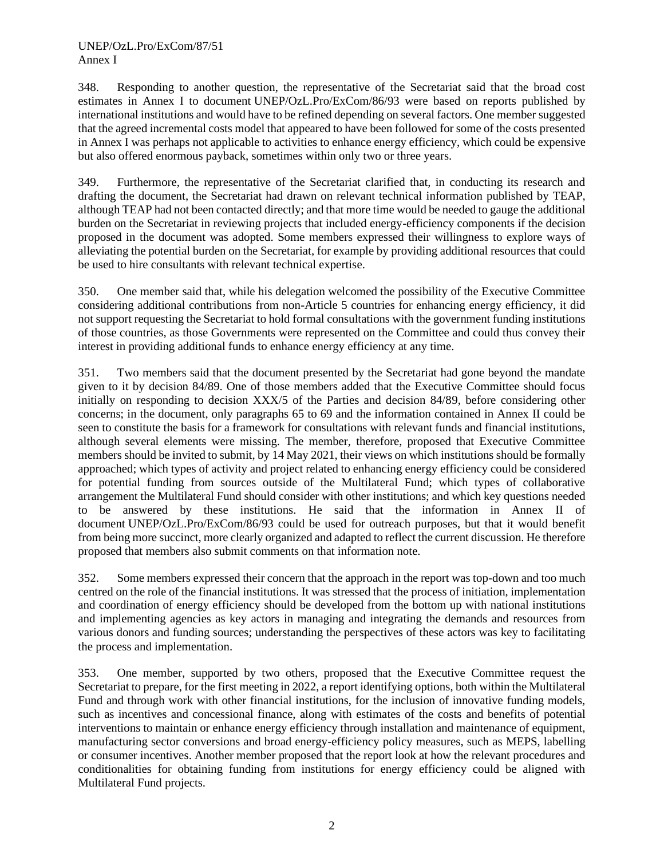#### UNEP/OzL.Pro/ExCom/87/51 Annex I

348. Responding to another question, the representative of the Secretariat said that the broad cost estimates in Annex I to document UNEP/OzL.Pro/ExCom/86/93 were based on reports published by international institutions and would have to be refined depending on several factors. One member suggested that the agreed incremental costs model that appeared to have been followed for some of the costs presented in Annex I was perhaps not applicable to activities to enhance energy efficiency, which could be expensive but also offered enormous payback, sometimes within only two or three years.

349. Furthermore, the representative of the Secretariat clarified that, in conducting its research and drafting the document, the Secretariat had drawn on relevant technical information published by TEAP, although TEAP had not been contacted directly; and that more time would be needed to gauge the additional burden on the Secretariat in reviewing projects that included energy-efficiency components if the decision proposed in the document was adopted. Some members expressed their willingness to explore ways of alleviating the potential burden on the Secretariat, for example by providing additional resources that could be used to hire consultants with relevant technical expertise.

350. One member said that, while his delegation welcomed the possibility of the Executive Committee considering additional contributions from non-Article 5 countries for enhancing energy efficiency, it did not support requesting the Secretariat to hold formal consultations with the government funding institutions of those countries, as those Governments were represented on the Committee and could thus convey their interest in providing additional funds to enhance energy efficiency at any time.

351. Two members said that the document presented by the Secretariat had gone beyond the mandate given to it by decision 84/89. One of those members added that the Executive Committee should focus initially on responding to decision XXX/5 of the Parties and decision 84/89, before considering other concerns; in the document, only paragraphs 65 to 69 and the information contained in Annex II could be seen to constitute the basis for a framework for consultations with relevant funds and financial institutions, although several elements were missing. The member, therefore, proposed that Executive Committee members should be invited to submit, by 14 May 2021, their views on which institutions should be formally approached; which types of activity and project related to enhancing energy efficiency could be considered for potential funding from sources outside of the Multilateral Fund; which types of collaborative arrangement the Multilateral Fund should consider with other institutions; and which key questions needed to be answered by these institutions. He said that the information in Annex II of document UNEP/OzL.Pro/ExCom/86/93 could be used for outreach purposes, but that it would benefit from being more succinct, more clearly organized and adapted to reflect the current discussion. He therefore proposed that members also submit comments on that information note.

352. Some members expressed their concern that the approach in the report was top-down and too much centred on the role of the financial institutions. It was stressed that the process of initiation, implementation and coordination of energy efficiency should be developed from the bottom up with national institutions and implementing agencies as key actors in managing and integrating the demands and resources from various donors and funding sources; understanding the perspectives of these actors was key to facilitating the process and implementation.

353. One member, supported by two others, proposed that the Executive Committee request the Secretariat to prepare, for the first meeting in 2022, a report identifying options, both within the Multilateral Fund and through work with other financial institutions, for the inclusion of innovative funding models, such as incentives and concessional finance, along with estimates of the costs and benefits of potential interventions to maintain or enhance energy efficiency through installation and maintenance of equipment, manufacturing sector conversions and broad energy-efficiency policy measures, such as MEPS, labelling or consumer incentives. Another member proposed that the report look at how the relevant procedures and conditionalities for obtaining funding from institutions for energy efficiency could be aligned with Multilateral Fund projects.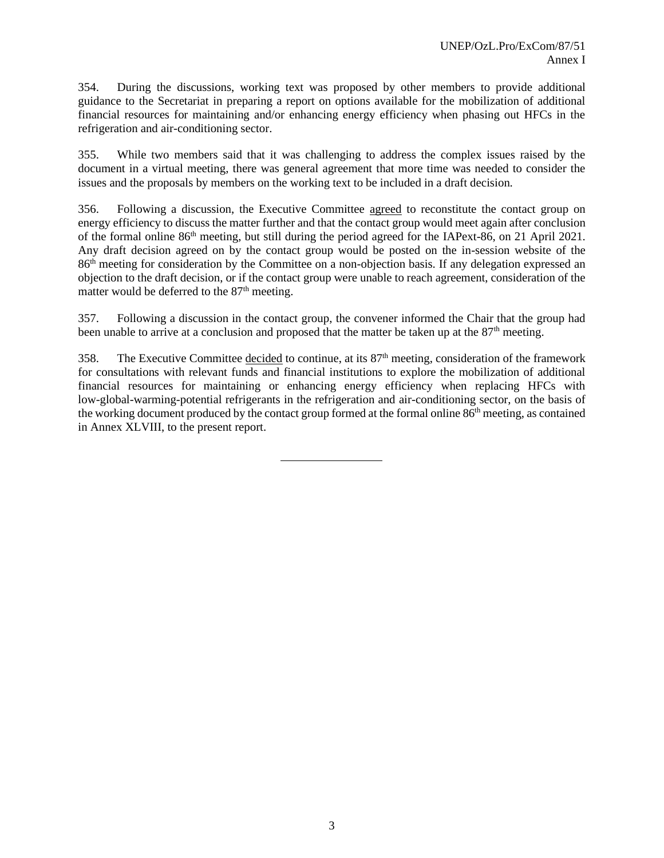354. During the discussions, working text was proposed by other members to provide additional guidance to the Secretariat in preparing a report on options available for the mobilization of additional financial resources for maintaining and/or enhancing energy efficiency when phasing out HFCs in the refrigeration and air-conditioning sector.

355. While two members said that it was challenging to address the complex issues raised by the document in a virtual meeting, there was general agreement that more time was needed to consider the issues and the proposals by members on the working text to be included in a draft decision.

356. Following a discussion, the Executive Committee agreed to reconstitute the contact group on energy efficiency to discuss the matter further and that the contact group would meet again after conclusion of the formal online 86th meeting, but still during the period agreed for the IAPext-86, on 21 April 2021. Any draft decision agreed on by the contact group would be posted on the in-session website of the 86th meeting for consideration by the Committee on a non-objection basis. If any delegation expressed an objection to the draft decision, or if the contact group were unable to reach agreement, consideration of the matter would be deferred to the 87<sup>th</sup> meeting.

357. Following a discussion in the contact group, the convener informed the Chair that the group had been unable to arrive at a conclusion and proposed that the matter be taken up at the  $87<sup>th</sup>$  meeting.

358. The Executive Committee decided to continue, at its 87th meeting, consideration of the framework for consultations with relevant funds and financial institutions to explore the mobilization of additional financial resources for maintaining or enhancing energy efficiency when replacing HFCs with low-global-warming-potential refrigerants in the refrigeration and air-conditioning sector, on the basis of the working document produced by the contact group formed at the formal online 86<sup>th</sup> meeting, as contained in Annex XLVIII, to the present report.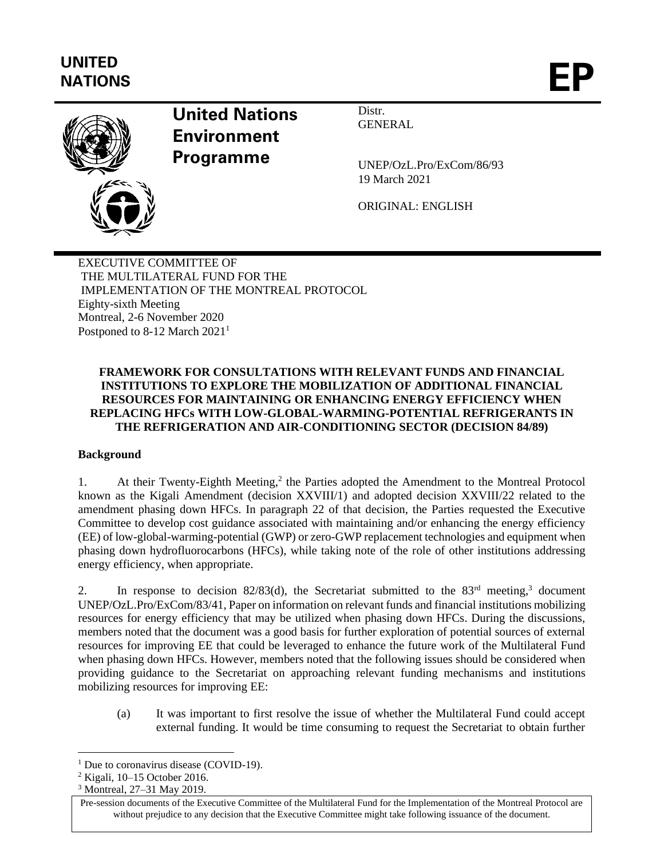# **UNITED** UNITED<br>NATIONS



## **United Nations Environment Programme**

UNEP/OzL.Pro/ExCom/86/93 19 March 2021

Distr. GENERAL

ORIGINAL: ENGLISH

EXECUTIVE COMMITTEE OF THE MULTILATERAL FUND FOR THE IMPLEMENTATION OF THE MONTREAL PROTOCOL Eighty-sixth Meeting Montreal, 2-6 November 2020 Postponed to 8-12 March 2021<sup>1</sup>

## **FRAMEWORK FOR CONSULTATIONS WITH RELEVANT FUNDS AND FINANCIAL INSTITUTIONS TO EXPLORE THE MOBILIZATION OF ADDITIONAL FINANCIAL RESOURCES FOR MAINTAINING OR ENHANCING ENERGY EFFICIENCY WHEN REPLACING HFCs WITH LOW-GLOBAL-WARMING-POTENTIAL REFRIGERANTS IN THE REFRIGERATION AND AIR-CONDITIONING SECTOR (DECISION 84/89)**

## **Background**

1. At their Twenty-Eighth Meeting,<sup>2</sup> the Parties adopted the Amendment to the Montreal Protocol known as the Kigali Amendment (decision XXVIII/1) and adopted decision XXVIII/22 related to the amendment phasing down HFCs. In paragraph 22 of that decision, the Parties requested the Executive Committee to develop cost guidance associated with maintaining and/or enhancing the energy efficiency (EE) of low-global-warming-potential (GWP) or zero-GWP replacement technologies and equipment when phasing down hydrofluorocarbons (HFCs), while taking note of the role of other institutions addressing energy efficiency, when appropriate.

2. In response to decision  $82/83(d)$ , the Secretariat submitted to the  $83<sup>rd</sup>$  meeting,<sup>3</sup> document UNEP/OzL.Pro/ExCom/83/41, Paper on information on relevant funds and financial institutions mobilizing resources for energy efficiency that may be utilized when phasing down HFCs. During the discussions, members noted that the document was a good basis for further exploration of potential sources of external resources for improving EE that could be leveraged to enhance the future work of the Multilateral Fund when phasing down HFCs. However, members noted that the following issues should be considered when providing guidance to the Secretariat on approaching relevant funding mechanisms and institutions mobilizing resources for improving EE:

(a) It was important to first resolve the issue of whether the Multilateral Fund could accept external funding. It would be time consuming to request the Secretariat to obtain further

<sup>&</sup>lt;sup>1</sup> Due to coronavirus disease (COVID-19).

<sup>2</sup> Kigali, 10–15 October 2016.

<sup>3</sup> Montreal, 27–31 May 2019.

Pre-session documents of the Executive Committee of the Multilateral Fund for the Implementation of the Montreal Protocol are without prejudice to any decision that the Executive Committee might take following issuance of the document.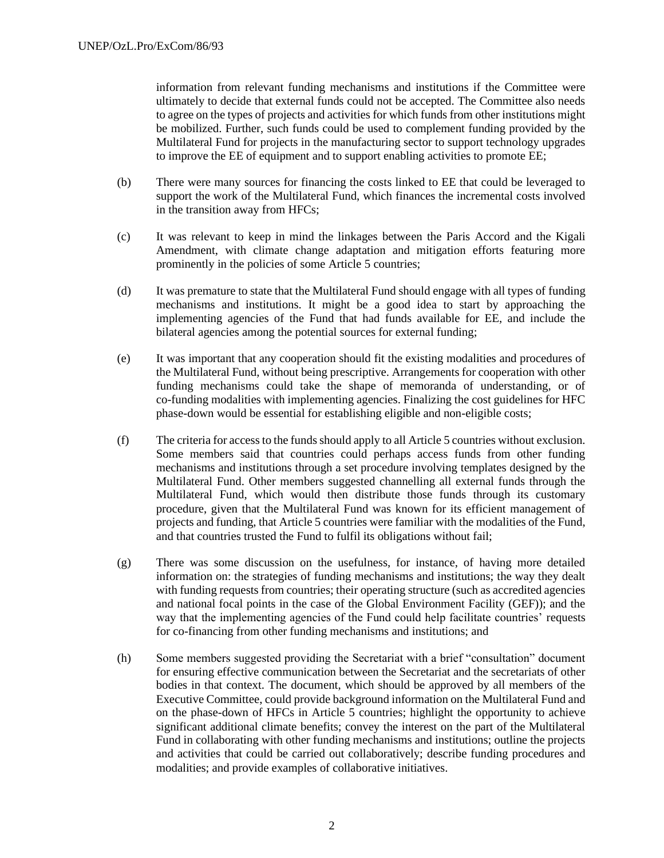information from relevant funding mechanisms and institutions if the Committee were ultimately to decide that external funds could not be accepted. The Committee also needs to agree on the types of projects and activities for which funds from other institutions might be mobilized. Further, such funds could be used to complement funding provided by the Multilateral Fund for projects in the manufacturing sector to support technology upgrades to improve the EE of equipment and to support enabling activities to promote EE;

- (b) There were many sources for financing the costs linked to EE that could be leveraged to support the work of the Multilateral Fund, which finances the incremental costs involved in the transition away from HFCs;
- (c) It was relevant to keep in mind the linkages between the Paris Accord and the Kigali Amendment, with climate change adaptation and mitigation efforts featuring more prominently in the policies of some Article 5 countries;
- (d) It was premature to state that the Multilateral Fund should engage with all types of funding mechanisms and institutions. It might be a good idea to start by approaching the implementing agencies of the Fund that had funds available for EE, and include the bilateral agencies among the potential sources for external funding;
- (e) It was important that any cooperation should fit the existing modalities and procedures of the Multilateral Fund, without being prescriptive. Arrangements for cooperation with other funding mechanisms could take the shape of memoranda of understanding, or of co-funding modalities with implementing agencies. Finalizing the cost guidelines for HFC phase-down would be essential for establishing eligible and non-eligible costs;
- (f) The criteria for access to the funds should apply to all Article 5 countries without exclusion. Some members said that countries could perhaps access funds from other funding mechanisms and institutions through a set procedure involving templates designed by the Multilateral Fund. Other members suggested channelling all external funds through the Multilateral Fund, which would then distribute those funds through its customary procedure, given that the Multilateral Fund was known for its efficient management of projects and funding, that Article 5 countries were familiar with the modalities of the Fund, and that countries trusted the Fund to fulfil its obligations without fail;
- (g) There was some discussion on the usefulness, for instance, of having more detailed information on: the strategies of funding mechanisms and institutions; the way they dealt with funding requests from countries; their operating structure (such as accredited agencies and national focal points in the case of the Global Environment Facility (GEF)); and the way that the implementing agencies of the Fund could help facilitate countries' requests for co-financing from other funding mechanisms and institutions; and
- (h) Some members suggested providing the Secretariat with a brief "consultation" document for ensuring effective communication between the Secretariat and the secretariats of other bodies in that context. The document, which should be approved by all members of the Executive Committee, could provide background information on the Multilateral Fund and on the phase-down of HFCs in Article 5 countries; highlight the opportunity to achieve significant additional climate benefits; convey the interest on the part of the Multilateral Fund in collaborating with other funding mechanisms and institutions; outline the projects and activities that could be carried out collaboratively; describe funding procedures and modalities; and provide examples of collaborative initiatives.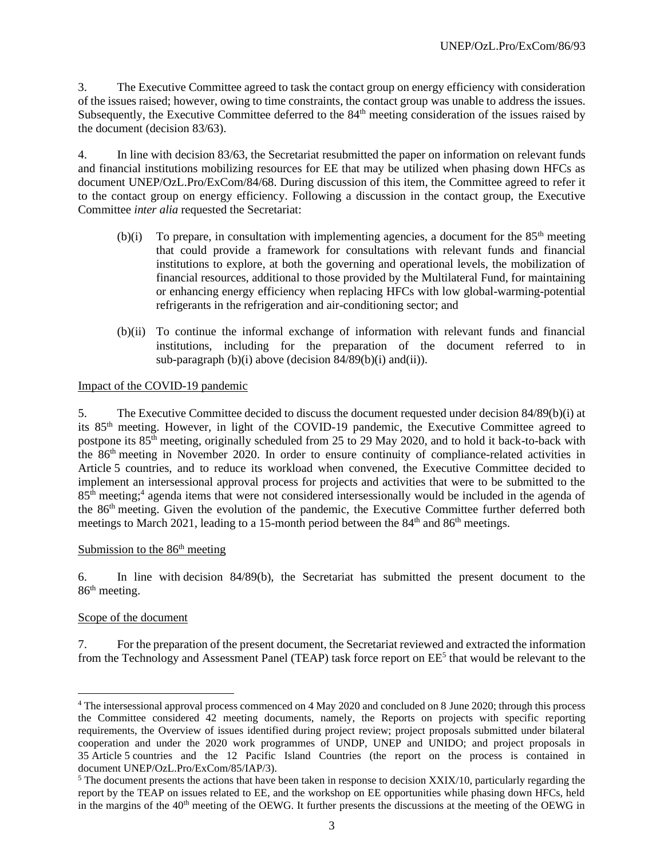3. The Executive Committee agreed to task the contact group on energy efficiency with consideration of the issues raised; however, owing to time constraints, the contact group was unable to address the issues. Subsequently, the Executive Committee deferred to the 84<sup>th</sup> meeting consideration of the issues raised by the document (decision 83/63).

4. In line with decision 83/63, the Secretariat resubmitted the paper on information on relevant funds and financial institutions mobilizing resources for EE that may be utilized when phasing down HFCs as document UNEP/OzL.Pro/ExCom/84/68. During discussion of this item, the Committee agreed to refer it to the contact group on energy efficiency. Following a discussion in the contact group, the Executive Committee *inter alia* requested the Secretariat:

- $(b)(i)$  To prepare, in consultation with implementing agencies, a document for the 85<sup>th</sup> meeting that could provide a framework for consultations with relevant funds and financial institutions to explore, at both the governing and operational levels, the mobilization of financial resources, additional to those provided by the Multilateral Fund, for maintaining or enhancing energy efficiency when replacing HFCs with low global-warming-potential refrigerants in the refrigeration and air-conditioning sector; and
- (b)(ii) To continue the informal exchange of information with relevant funds and financial institutions, including for the preparation of the document referred to in sub-paragraph (b)(i) above (decision  $84/89(b)(i)$  and(ii)).

## Impact of the COVID-19 pandemic

5. The Executive Committee decided to discuss the document requested under decision 84/89(b)(i) at its 85th meeting. However, in light of the COVID-19 pandemic, the Executive Committee agreed to postpone its  $85<sup>th</sup>$  meeting, originally scheduled from 25 to 29 May 2020, and to hold it back-to-back with the 86th meeting in November 2020. In order to ensure continuity of compliance-related activities in Article 5 countries, and to reduce its workload when convened, the Executive Committee decided to implement an intersessional approval process for projects and activities that were to be submitted to the 85<sup>th</sup> meeting;<sup>4</sup> agenda items that were not considered intersessionally would be included in the agenda of the 86th meeting. Given the evolution of the pandemic, the Executive Committee further deferred both meetings to March 2021, leading to a 15-month period between the  $84<sup>th</sup>$  and  $86<sup>th</sup>$  meetings.

#### Submission to the  $86<sup>th</sup>$  meeting

6. In line with decision 84/89(b), the Secretariat has submitted the present document to the 86th meeting.

#### Scope of the document

7. For the preparation of the present document, the Secretariat reviewed and extracted the information from the Technology and Assessment Panel (TEAP) task force report on EE<sup>5</sup> that would be relevant to the

<sup>4</sup> The intersessional approval process commenced on 4 May 2020 and concluded on 8 June 2020; through this process the Committee considered 42 meeting documents, namely, the Reports on projects with specific reporting requirements, the Overview of issues identified during project review; project proposals submitted under bilateral cooperation and under the 2020 work programmes of UNDP, UNEP and UNIDO; and project proposals in 35 Article 5 countries and the 12 Pacific Island Countries (the report on the process is contained in document UNEP/OzL.Pro/ExCom/85/IAP/3).

 $5$  The document presents the actions that have been taken in response to decision XXIX/10, particularly regarding the report by the TEAP on issues related to EE, and the workshop on EE opportunities while phasing down HFCs, held in the margins of the 40<sup>th</sup> meeting of the OEWG. It further presents the discussions at the meeting of the OEWG in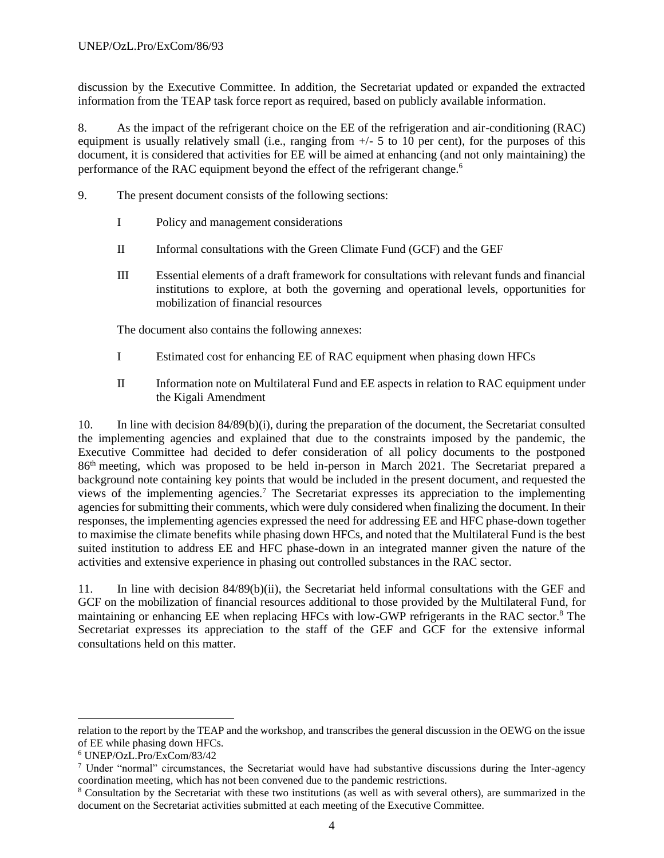discussion by the Executive Committee. In addition, the Secretariat updated or expanded the extracted information from the TEAP task force report as required, based on publicly available information.

8. As the impact of the refrigerant choice on the EE of the refrigeration and air-conditioning (RAC) equipment is usually relatively small (i.e., ranging from  $+/-$  5 to 10 per cent), for the purposes of this document, it is considered that activities for EE will be aimed at enhancing (and not only maintaining) the performance of the RAC equipment beyond the effect of the refrigerant change.<sup>6</sup>

- 9. The present document consists of the following sections:
	- I Policy and management considerations
	- II Informal consultations with the Green Climate Fund (GCF) and the GEF
	- III Essential elements of a draft framework for consultations with relevant funds and financial institutions to explore, at both the governing and operational levels, opportunities for mobilization of financial resources

The document also contains the following annexes:

- I Estimated cost for enhancing EE of RAC equipment when phasing down HFCs
- II Information note on Multilateral Fund and EE aspects in relation to RAC equipment under the Kigali Amendment

10. In line with decision 84/89(b)(i), during the preparation of the document, the Secretariat consulted the implementing agencies and explained that due to the constraints imposed by the pandemic, the Executive Committee had decided to defer consideration of all policy documents to the postponed 86th meeting, which was proposed to be held in-person in March 2021. The Secretariat prepared a background note containing key points that would be included in the present document, and requested the views of the implementing agencies.<sup>7</sup> The Secretariat expresses its appreciation to the implementing agencies for submitting their comments, which were duly considered when finalizing the document. In their responses, the implementing agencies expressed the need for addressing EE and HFC phase-down together to maximise the climate benefits while phasing down HFCs, and noted that the Multilateral Fund is the best suited institution to address EE and HFC phase-down in an integrated manner given the nature of the activities and extensive experience in phasing out controlled substances in the RAC sector.

11. In line with decision 84/89(b)(ii), the Secretariat held informal consultations with the GEF and GCF on the mobilization of financial resources additional to those provided by the Multilateral Fund, for maintaining or enhancing EE when replacing HFCs with low-GWP refrigerants in the RAC sector.<sup>8</sup> The Secretariat expresses its appreciation to the staff of the GEF and GCF for the extensive informal consultations held on this matter.

relation to the report by the TEAP and the workshop, and transcribes the general discussion in the OEWG on the issue of EE while phasing down HFCs.

<sup>6</sup> UNEP/OzL.Pro/ExCom/83/42

<sup>7</sup> Under "normal" circumstances, the Secretariat would have had substantive discussions during the Inter-agency coordination meeting, which has not been convened due to the pandemic restrictions.

<sup>8</sup> Consultation by the Secretariat with these two institutions (as well as with several others), are summarized in the document on the Secretariat activities submitted at each meeting of the Executive Committee.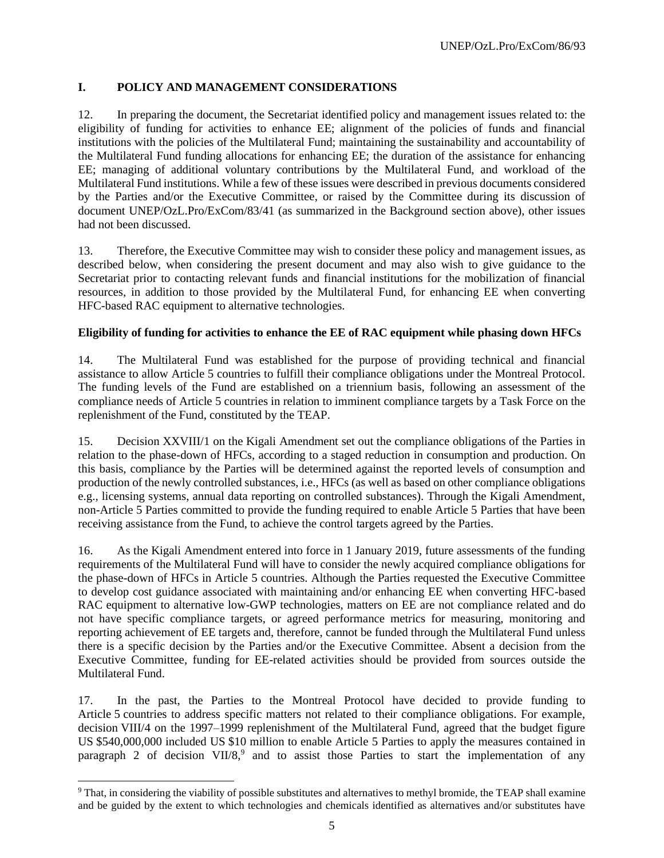## **I. POLICY AND MANAGEMENT CONSIDERATIONS**

12. In preparing the document, the Secretariat identified policy and management issues related to: the eligibility of funding for activities to enhance EE; alignment of the policies of funds and financial institutions with the policies of the Multilateral Fund; maintaining the sustainability and accountability of the Multilateral Fund funding allocations for enhancing EE; the duration of the assistance for enhancing EE; managing of additional voluntary contributions by the Multilateral Fund, and workload of the Multilateral Fund institutions. While a few of these issues were described in previous documents considered by the Parties and/or the Executive Committee, or raised by the Committee during its discussion of document UNEP/OzL.Pro/ExCom/83/41 (as summarized in the Background section above), other issues had not been discussed.

13. Therefore, the Executive Committee may wish to consider these policy and management issues, as described below, when considering the present document and may also wish to give guidance to the Secretariat prior to contacting relevant funds and financial institutions for the mobilization of financial resources, in addition to those provided by the Multilateral Fund, for enhancing EE when converting HFC-based RAC equipment to alternative technologies.

## **Eligibility of funding for activities to enhance the EE of RAC equipment while phasing down HFCs**

14. The Multilateral Fund was established for the purpose of providing technical and financial assistance to allow Article 5 countries to fulfill their compliance obligations under the Montreal Protocol. The funding levels of the Fund are established on a triennium basis, following an assessment of the compliance needs of Article 5 countries in relation to imminent compliance targets by a Task Force on the replenishment of the Fund, constituted by the TEAP.

15. Decision XXVIII/1 on the Kigali Amendment set out the compliance obligations of the Parties in relation to the phase-down of HFCs, according to a staged reduction in consumption and production. On this basis, compliance by the Parties will be determined against the reported levels of consumption and production of the newly controlled substances, i.e., HFCs (as well as based on other compliance obligations e.g., licensing systems, annual data reporting on controlled substances). Through the Kigali Amendment, non-Article 5 Parties committed to provide the funding required to enable Article 5 Parties that have been receiving assistance from the Fund, to achieve the control targets agreed by the Parties.

16. As the Kigali Amendment entered into force in 1 January 2019, future assessments of the funding requirements of the Multilateral Fund will have to consider the newly acquired compliance obligations for the phase-down of HFCs in Article 5 countries. Although the Parties requested the Executive Committee to develop cost guidance associated with maintaining and/or enhancing EE when converting HFC-based RAC equipment to alternative low-GWP technologies, matters on EE are not compliance related and do not have specific compliance targets, or agreed performance metrics for measuring, monitoring and reporting achievement of EE targets and, therefore, cannot be funded through the Multilateral Fund unless there is a specific decision by the Parties and/or the Executive Committee. Absent a decision from the Executive Committee, funding for EE-related activities should be provided from sources outside the Multilateral Fund.

17. In the past, the Parties to the Montreal Protocol have decided to provide funding to Article 5 countries to address specific matters not related to their compliance obligations. For example, decision VIII/4 on the 1997–1999 replenishment of the Multilateral Fund, agreed that the budget figure US \$540,000,000 included US \$10 million to enable Article 5 Parties to apply the measures contained in paragraph 2 of decision VII/8,<sup>9</sup> and to assist those Parties to start the implementation of any

<sup>&</sup>lt;sup>9</sup> That, in considering the viability of possible substitutes and alternatives to methyl bromide, the TEAP shall examine and be guided by the extent to which technologies and chemicals identified as alternatives and/or substitutes have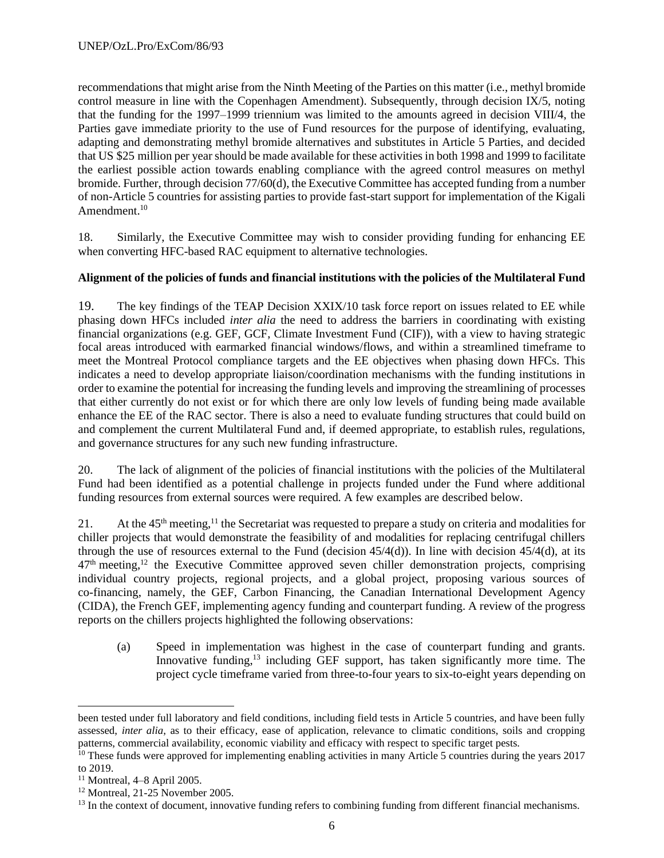recommendations that might arise from the Ninth Meeting of the Parties on this matter (i.e., methyl bromide control measure in line with the Copenhagen Amendment). Subsequently, through decision IX/5, noting that the funding for the 1997–1999 triennium was limited to the amounts agreed in decision VIII/4, the Parties gave immediate priority to the use of Fund resources for the purpose of identifying, evaluating, adapting and demonstrating methyl bromide alternatives and substitutes in Article 5 Parties, and decided that US \$25 million per year should be made available for these activities in both 1998 and 1999 to facilitate the earliest possible action towards enabling compliance with the agreed control measures on methyl bromide. Further, through decision 77/60(d), the Executive Committee has accepted funding from a number of non-Article 5 countries for assisting parties to provide fast-start support for implementation of the Kigali Amendment.<sup>10</sup>

18. Similarly, the Executive Committee may wish to consider providing funding for enhancing EE when converting HFC-based RAC equipment to alternative technologies.

## **Alignment of the policies of funds and financial institutions with the policies of the Multilateral Fund**

19. The key findings of the TEAP Decision XXIX/10 task force report on issues related to EE while phasing down HFCs included *inter alia* the need to address the barriers in coordinating with existing financial organizations (e.g. GEF, GCF, Climate Investment Fund (CIF)), with a view to having strategic focal areas introduced with earmarked financial windows/flows, and within a streamlined timeframe to meet the Montreal Protocol compliance targets and the EE objectives when phasing down HFCs. This indicates a need to develop appropriate liaison/coordination mechanisms with the funding institutions in order to examine the potential for increasing the funding levels and improving the streamlining of processes that either currently do not exist or for which there are only low levels of funding being made available enhance the EE of the RAC sector. There is also a need to evaluate funding structures that could build on and complement the current Multilateral Fund and, if deemed appropriate, to establish rules, regulations, and governance structures for any such new funding infrastructure.

20. The lack of alignment of the policies of financial institutions with the policies of the Multilateral Fund had been identified as a potential challenge in projects funded under the Fund where additional funding resources from external sources were required. A few examples are described below.

21. At the 45<sup>th</sup> meeting,<sup>11</sup> the Secretariat was requested to prepare a study on criteria and modalities for chiller projects that would demonstrate the feasibility of and modalities for replacing centrifugal chillers through the use of resources external to the Fund (decision  $45/4(d)$ ). In line with decision  $45/4(d)$ , at its  $47<sup>th</sup>$  meeting,<sup>12</sup> the Executive Committee approved seven chiller demonstration projects, comprising individual country projects, regional projects, and a global project, proposing various sources of co-financing, namely, the GEF, Carbon Financing, the Canadian International Development Agency (CIDA), the French GEF, implementing agency funding and counterpart funding. A review of the progress reports on the chillers projects highlighted the following observations:

(a) Speed in implementation was highest in the case of counterpart funding and grants. Innovative funding,<sup>13</sup> including GEF support, has taken significantly more time. The project cycle timeframe varied from three-to-four years to six-to-eight years depending on

been tested under full laboratory and field conditions, including field tests in Article 5 countries, and have been fully assessed, *inter alia*, as to their efficacy, ease of application, relevance to climatic conditions, soils and cropping patterns, commercial availability, economic viability and efficacy with respect to specific target pests.

 $10$  These funds were approved for implementing enabling activities in many Article 5 countries during the years 2017 to 2019.

 $11$  Montreal, 4–8 April 2005.

 $12$  Montreal, 21-25 November 2005.

<sup>&</sup>lt;sup>13</sup> In the context of document, innovative funding refers to combining funding from different financial mechanisms.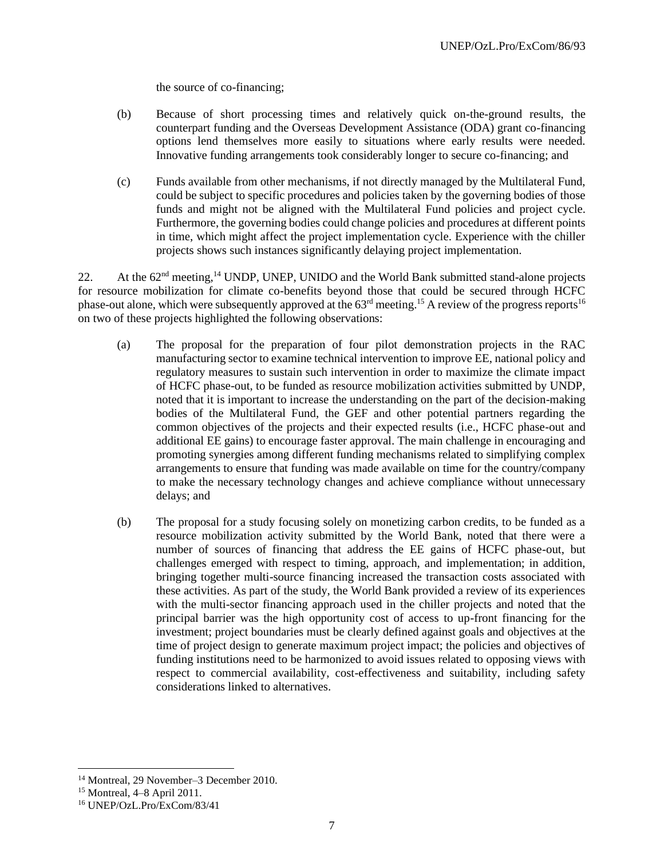the source of co-financing;

- (b) Because of short processing times and relatively quick on-the-ground results, the counterpart funding and the Overseas Development Assistance (ODA) grant co-financing options lend themselves more easily to situations where early results were needed. Innovative funding arrangements took considerably longer to secure co-financing; and
- (c) Funds available from other mechanisms, if not directly managed by the Multilateral Fund, could be subject to specific procedures and policies taken by the governing bodies of those funds and might not be aligned with the Multilateral Fund policies and project cycle. Furthermore, the governing bodies could change policies and procedures at different points in time, which might affect the project implementation cycle. Experience with the chiller projects shows such instances significantly delaying project implementation.

22. At the  $62<sup>nd</sup>$  meeting,<sup>14</sup> UNDP, UNEP, UNIDO and the World Bank submitted stand-alone projects for resource mobilization for climate co-benefits beyond those that could be secured through HCFC phase-out alone, which were subsequently approved at the 63<sup>rd</sup> meeting.<sup>15</sup> A review of the progress reports<sup>16</sup> on two of these projects highlighted the following observations:

- (a) The proposal for the preparation of four pilot demonstration projects in the RAC manufacturing sector to examine technical intervention to improve EE, national policy and regulatory measures to sustain such intervention in order to maximize the climate impact of HCFC phase-out, to be funded as resource mobilization activities submitted by UNDP, noted that it is important to increase the understanding on the part of the decision-making bodies of the Multilateral Fund, the GEF and other potential partners regarding the common objectives of the projects and their expected results (i.e., HCFC phase-out and additional EE gains) to encourage faster approval. The main challenge in encouraging and promoting synergies among different funding mechanisms related to simplifying complex arrangements to ensure that funding was made available on time for the country/company to make the necessary technology changes and achieve compliance without unnecessary delays; and
- (b) The proposal for a study focusing solely on monetizing carbon credits, to be funded as a resource mobilization activity submitted by the World Bank, noted that there were a number of sources of financing that address the EE gains of HCFC phase-out, but challenges emerged with respect to timing, approach, and implementation; in addition, bringing together multi-source financing increased the transaction costs associated with these activities. As part of the study, the World Bank provided a review of its experiences with the multi-sector financing approach used in the chiller projects and noted that the principal barrier was the high opportunity cost of access to up-front financing for the investment; project boundaries must be clearly defined against goals and objectives at the time of project design to generate maximum project impact; the policies and objectives of funding institutions need to be harmonized to avoid issues related to opposing views with respect to commercial availability, cost-effectiveness and suitability, including safety considerations linked to alternatives.

<sup>14</sup> Montreal, 29 November–3 December 2010.

<sup>15</sup> Montreal, 4–8 April 2011.

<sup>16</sup> UNEP/OzL.Pro/ExCom/83/41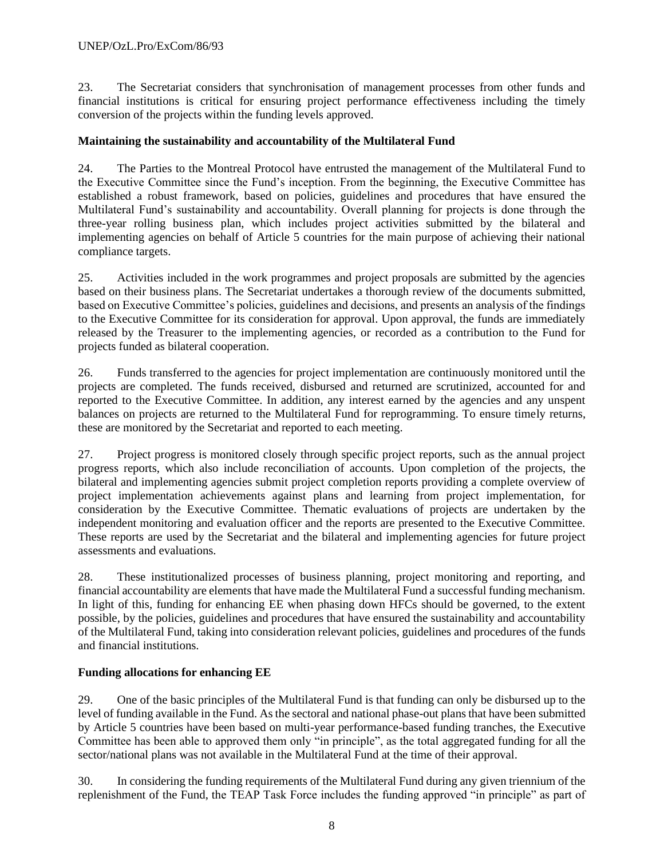23. The Secretariat considers that synchronisation of management processes from other funds and financial institutions is critical for ensuring project performance effectiveness including the timely conversion of the projects within the funding levels approved.

#### **Maintaining the sustainability and accountability of the Multilateral Fund**

24. The Parties to the Montreal Protocol have entrusted the management of the Multilateral Fund to the Executive Committee since the Fund's inception. From the beginning, the Executive Committee has established a robust framework, based on policies, guidelines and procedures that have ensured the Multilateral Fund's sustainability and accountability. Overall planning for projects is done through the three-year rolling business plan, which includes project activities submitted by the bilateral and implementing agencies on behalf of Article 5 countries for the main purpose of achieving their national compliance targets.

25. Activities included in the work programmes and project proposals are submitted by the agencies based on their business plans. The Secretariat undertakes a thorough review of the documents submitted, based on Executive Committee's policies, guidelines and decisions, and presents an analysis of the findings to the Executive Committee for its consideration for approval. Upon approval, the funds are immediately released by the Treasurer to the implementing agencies, or recorded as a contribution to the Fund for projects funded as bilateral cooperation.

26. Funds transferred to the agencies for project implementation are continuously monitored until the projects are completed. The funds received, disbursed and returned are scrutinized, accounted for and reported to the Executive Committee. In addition, any interest earned by the agencies and any unspent balances on projects are returned to the Multilateral Fund for reprogramming. To ensure timely returns, these are monitored by the Secretariat and reported to each meeting.

27. Project progress is monitored closely through specific project reports, such as the annual project progress reports, which also include reconciliation of accounts. Upon completion of the projects, the bilateral and implementing agencies submit project completion reports providing a complete overview of project implementation achievements against plans and learning from project implementation, for consideration by the Executive Committee. Thematic evaluations of projects are undertaken by the independent monitoring and evaluation officer and the reports are presented to the Executive Committee. These reports are used by the Secretariat and the bilateral and implementing agencies for future project assessments and evaluations.

28. These institutionalized processes of business planning, project monitoring and reporting, and financial accountability are elements that have made the Multilateral Fund a successful funding mechanism. In light of this, funding for enhancing EE when phasing down HFCs should be governed, to the extent possible, by the policies, guidelines and procedures that have ensured the sustainability and accountability of the Multilateral Fund, taking into consideration relevant policies, guidelines and procedures of the funds and financial institutions.

#### **Funding allocations for enhancing EE**

29. One of the basic principles of the Multilateral Fund is that funding can only be disbursed up to the level of funding available in the Fund. As the sectoral and national phase-out plans that have been submitted by Article 5 countries have been based on multi-year performance-based funding tranches, the Executive Committee has been able to approved them only "in principle", as the total aggregated funding for all the sector/national plans was not available in the Multilateral Fund at the time of their approval.

30. In considering the funding requirements of the Multilateral Fund during any given triennium of the replenishment of the Fund, the TEAP Task Force includes the funding approved "in principle" as part of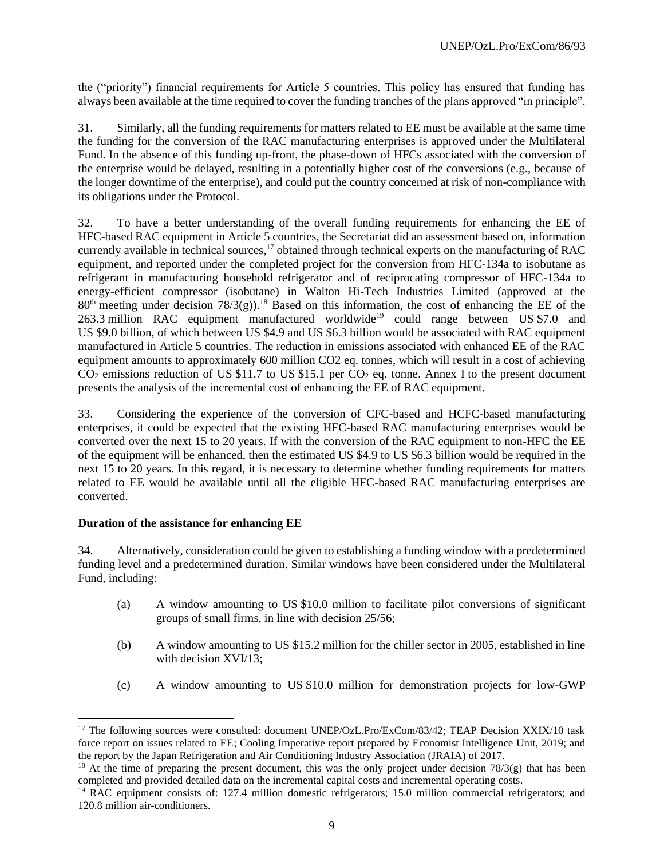the ("priority") financial requirements for Article 5 countries. This policy has ensured that funding has always been available at the time required to cover the funding tranches of the plans approved "in principle".

31. Similarly, all the funding requirements for matters related to EE must be available at the same time the funding for the conversion of the RAC manufacturing enterprises is approved under the Multilateral Fund. In the absence of this funding up-front, the phase-down of HFCs associated with the conversion of the enterprise would be delayed, resulting in a potentially higher cost of the conversions (e.g., because of the longer downtime of the enterprise), and could put the country concerned at risk of non-compliance with its obligations under the Protocol.

32. To have a better understanding of the overall funding requirements for enhancing the EE of HFC-based RAC equipment in Article 5 countries, the Secretariat did an assessment based on, information currently available in technical sources,<sup>17</sup> obtained through technical experts on the manufacturing of RAC equipment, and reported under the completed project for the conversion from HFC-134a to isobutane as refrigerant in manufacturing household refrigerator and of reciprocating compressor of HFC-134a to energy-efficient compressor (isobutane) in Walton Hi-Tech Industries Limited (approved at the  $80<sup>th</sup>$  meeting under decision  $78/3(g)$ .<sup>18</sup> Based on this information, the cost of enhancing the EE of the 263.3 million RAC equipment manufactured worldwide<sup>19</sup> could range between US \$7.0 and US \$9.0 billion, of which between US \$4.9 and US \$6.3 billion would be associated with RAC equipment manufactured in Article 5 countries. The reduction in emissions associated with enhanced EE of the RAC equipment amounts to approximately 600 million CO2 eq. tonnes, which will result in a cost of achieving  $CO<sub>2</sub>$  emissions reduction of US \$11.7 to US \$15.1 per  $CO<sub>2</sub>$  eq. tonne. Annex I to the present document presents the analysis of the incremental cost of enhancing the EE of RAC equipment.

33. Considering the experience of the conversion of CFC-based and HCFC-based manufacturing enterprises, it could be expected that the existing HFC-based RAC manufacturing enterprises would be converted over the next 15 to 20 years. If with the conversion of the RAC equipment to non-HFC the EE of the equipment will be enhanced, then the estimated US \$4.9 to US \$6.3 billion would be required in the next 15 to 20 years. In this regard, it is necessary to determine whether funding requirements for matters related to EE would be available until all the eligible HFC-based RAC manufacturing enterprises are converted.

#### **Duration of the assistance for enhancing EE**

34. Alternatively, consideration could be given to establishing a funding window with a predetermined funding level and a predetermined duration. Similar windows have been considered under the Multilateral Fund, including:

- (a) A window amounting to US \$10.0 million to facilitate pilot conversions of significant groups of small firms, in line with decision 25/56;
- (b) A window amounting to US \$15.2 million for the chiller sector in 2005, established in line with decision XVI/13;
- (c) A window amounting to US \$10.0 million for demonstration projects for low-GWP

<sup>&</sup>lt;sup>17</sup> The following sources were consulted: document UNEP/OzL.Pro/ExCom/83/42; TEAP Decision XXIX/10 task force report on issues related to EE; Cooling Imperative report prepared by Economist Intelligence Unit, 2019; and the report by the Japan Refrigeration and Air Conditioning Industry Association (JRAIA) of 2017.

<sup>&</sup>lt;sup>18</sup> At the time of preparing the present document, this was the only project under decision  $78/3(g)$  that has been completed and provided detailed data on the incremental capital costs and incremental operating costs.

<sup>&</sup>lt;sup>19</sup> RAC equipment consists of: 127.4 million domestic refrigerators; 15.0 million commercial refrigerators; and 120.8 million air-conditioners.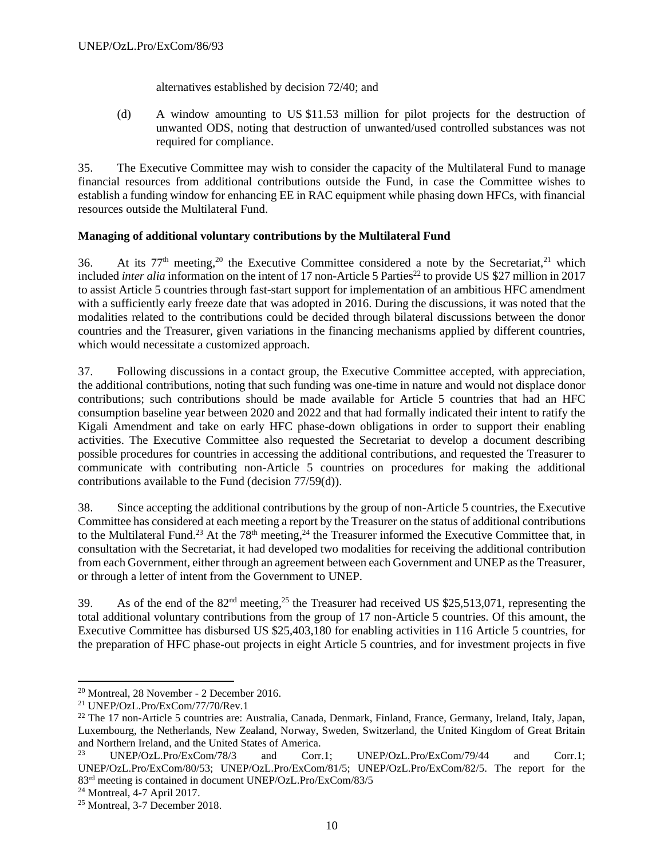alternatives established by decision 72/40; and

(d) A window amounting to US \$11.53 million for pilot projects for the destruction of unwanted ODS, noting that destruction of unwanted/used controlled substances was not required for compliance.

35. The Executive Committee may wish to consider the capacity of the Multilateral Fund to manage financial resources from additional contributions outside the Fund, in case the Committee wishes to establish a funding window for enhancing EE in RAC equipment while phasing down HFCs, with financial resources outside the Multilateral Fund.

## **Managing of additional voluntary contributions by the Multilateral Fund**

36. At its  $77<sup>th</sup>$  meeting,<sup>20</sup> the Executive Committee considered a note by the Secretariat,<sup>21</sup> which included *inter alia* information on the intent of 17 non-Article 5 Parties<sup>22</sup> to provide US \$27 million in 2017 to assist Article 5 countries through fast-start support for implementation of an ambitious HFC amendment with a sufficiently early freeze date that was adopted in 2016. During the discussions, it was noted that the modalities related to the contributions could be decided through bilateral discussions between the donor countries and the Treasurer, given variations in the financing mechanisms applied by different countries, which would necessitate a customized approach.

37. Following discussions in a contact group, the Executive Committee accepted, with appreciation, the additional contributions, noting that such funding was one-time in nature and would not displace donor contributions; such contributions should be made available for Article 5 countries that had an HFC consumption baseline year between 2020 and 2022 and that had formally indicated their intent to ratify the Kigali Amendment and take on early HFC phase-down obligations in order to support their enabling activities. The Executive Committee also requested the Secretariat to develop a document describing possible procedures for countries in accessing the additional contributions, and requested the Treasurer to communicate with contributing non-Article 5 countries on procedures for making the additional contributions available to the Fund (decision 77/59(d)).

38. Since accepting the additional contributions by the group of non-Article 5 countries, the Executive Committee has considered at each meeting a report by the Treasurer on the status of additional contributions to the Multilateral Fund.<sup>23</sup> At the 78<sup>th</sup> meeting,<sup>24</sup> the Treasurer informed the Executive Committee that, in consultation with the Secretariat, it had developed two modalities for receiving the additional contribution from each Government, either through an agreement between each Government and UNEP as the Treasurer, or through a letter of intent from the Government to UNEP.

39. As of the end of the 82nd meeting,<sup>25</sup> the Treasurer had received US \$25,513,071, representing the total additional voluntary contributions from the group of 17 non-Article 5 countries. Of this amount, the Executive Committee has disbursed US \$25,403,180 for enabling activities in 116 Article 5 countries, for the preparation of HFC phase-out projects in eight Article 5 countries, and for investment projects in five

<sup>20</sup> Montreal, 28 November - 2 December 2016.

<sup>21</sup> UNEP/OzL.Pro/ExCom/77/70/Rev.1

 $^{22}$  The 17 non-Article 5 countries are: Australia, Canada, Denmark, Finland, France, Germany, Ireland, Italy, Japan, Luxembourg, the Netherlands, New Zealand, Norway, Sweden, Switzerland, the United Kingdom of Great Britain and Northern Ireland, and the United States of America.

<sup>23</sup> UNEP/OzL.Pro/ExCom/78/3 and Corr.1; UNEP/OzL.Pro/ExCom/79/44 and Corr.1; UNEP/OzL.Pro/ExCom/80/53; UNEP/OzL.Pro/ExCom/81/5; UNEP/OzL.Pro/ExCom/82/5. The report for the 83rd meeting is contained in document UNEP/OzL.Pro/ExCom/83/5

<sup>24</sup> Montreal, 4-7 April 2017.

<sup>25</sup> Montreal, 3-7 December 2018.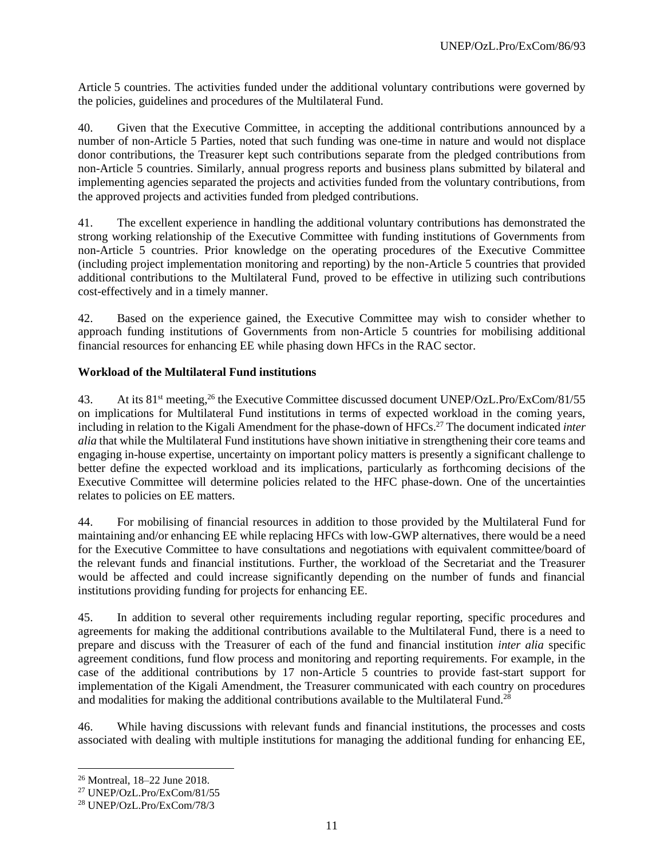Article 5 countries. The activities funded under the additional voluntary contributions were governed by the policies, guidelines and procedures of the Multilateral Fund.

40. Given that the Executive Committee, in accepting the additional contributions announced by a number of non-Article 5 Parties, noted that such funding was one-time in nature and would not displace donor contributions, the Treasurer kept such contributions separate from the pledged contributions from non-Article 5 countries. Similarly, annual progress reports and business plans submitted by bilateral and implementing agencies separated the projects and activities funded from the voluntary contributions, from the approved projects and activities funded from pledged contributions.

41. The excellent experience in handling the additional voluntary contributions has demonstrated the strong working relationship of the Executive Committee with funding institutions of Governments from non-Article 5 countries. Prior knowledge on the operating procedures of the Executive Committee (including project implementation monitoring and reporting) by the non-Article 5 countries that provided additional contributions to the Multilateral Fund, proved to be effective in utilizing such contributions cost-effectively and in a timely manner.

42. Based on the experience gained, the Executive Committee may wish to consider whether to approach funding institutions of Governments from non-Article 5 countries for mobilising additional financial resources for enhancing EE while phasing down HFCs in the RAC sector.

## **Workload of the Multilateral Fund institutions**

43. At its 81<sup>st</sup> meeting,<sup>26</sup> the Executive Committee discussed document UNEP/OzL.Pro/ExCom/81/55 on implications for Multilateral Fund institutions in terms of expected workload in the coming years, including in relation to the Kigali Amendment for the phase-down of HFCs.<sup>27</sup> The document indicated *inter alia* that while the Multilateral Fund institutions have shown initiative in strengthening their core teams and engaging in-house expertise, uncertainty on important policy matters is presently a significant challenge to better define the expected workload and its implications, particularly as forthcoming decisions of the Executive Committee will determine policies related to the HFC phase-down. One of the uncertainties relates to policies on EE matters.

44. For mobilising of financial resources in addition to those provided by the Multilateral Fund for maintaining and/or enhancing EE while replacing HFCs with low-GWP alternatives, there would be a need for the Executive Committee to have consultations and negotiations with equivalent committee/board of the relevant funds and financial institutions. Further, the workload of the Secretariat and the Treasurer would be affected and could increase significantly depending on the number of funds and financial institutions providing funding for projects for enhancing EE.

45. In addition to several other requirements including regular reporting, specific procedures and agreements for making the additional contributions available to the Multilateral Fund, there is a need to prepare and discuss with the Treasurer of each of the fund and financial institution *inter alia* specific agreement conditions, fund flow process and monitoring and reporting requirements. For example, in the case of the additional contributions by 17 non-Article 5 countries to provide fast-start support for implementation of the Kigali Amendment, the Treasurer communicated with each country on procedures and modalities for making the additional contributions available to the Multilateral Fund.<sup>28</sup>

46. While having discussions with relevant funds and financial institutions, the processes and costs associated with dealing with multiple institutions for managing the additional funding for enhancing EE,

<sup>26</sup> Montreal, 18–22 June 2018.

<sup>27</sup> UNEP/OzL.Pro/ExCom/81/55

<sup>28</sup> UNEP/OzL.Pro/ExCom/78/3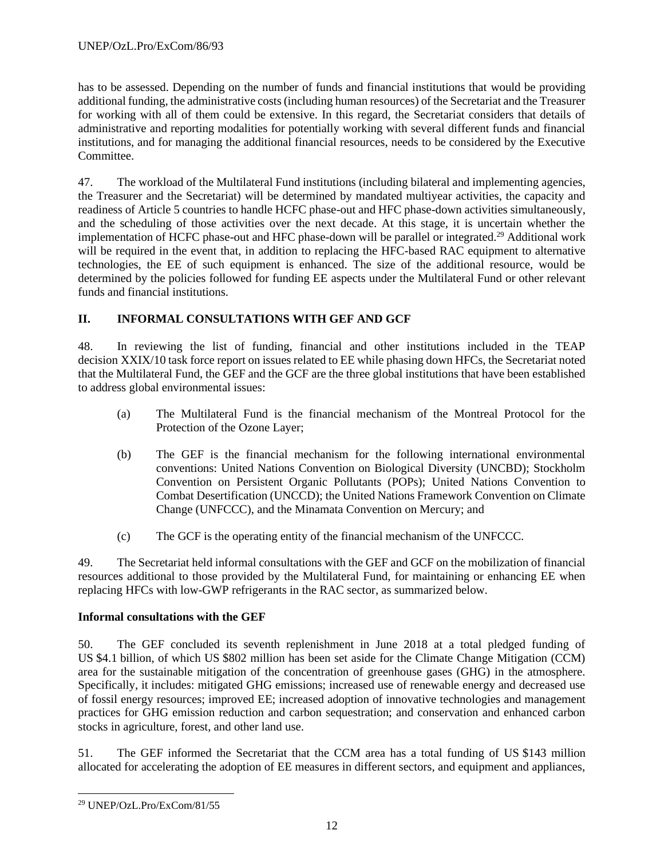has to be assessed. Depending on the number of funds and financial institutions that would be providing additional funding, the administrative costs (including human resources) of the Secretariat and the Treasurer for working with all of them could be extensive. In this regard, the Secretariat considers that details of administrative and reporting modalities for potentially working with several different funds and financial institutions, and for managing the additional financial resources, needs to be considered by the Executive Committee.

47. The workload of the Multilateral Fund institutions (including bilateral and implementing agencies, the Treasurer and the Secretariat) will be determined by mandated multiyear activities, the capacity and readiness of Article 5 countries to handle HCFC phase-out and HFC phase-down activities simultaneously, and the scheduling of those activities over the next decade. At this stage, it is uncertain whether the implementation of HCFC phase-out and HFC phase-down will be parallel or integrated.<sup>29</sup> Additional work will be required in the event that, in addition to replacing the HFC-based RAC equipment to alternative technologies, the EE of such equipment is enhanced. The size of the additional resource, would be determined by the policies followed for funding EE aspects under the Multilateral Fund or other relevant funds and financial institutions.

## **II. INFORMAL CONSULTATIONS WITH GEF AND GCF**

48. In reviewing the list of funding, financial and other institutions included in the TEAP decision XXIX/10 task force report on issues related to EE while phasing down HFCs, the Secretariat noted that the Multilateral Fund, the GEF and the GCF are the three global institutions that have been established to address global environmental issues:

- (a) The Multilateral Fund is the financial mechanism of the Montreal Protocol for the Protection of the Ozone Layer;
- (b) The GEF is the financial mechanism for the following international environmental conventions: United Nations Convention on Biological Diversity (UNCBD); Stockholm Convention on Persistent Organic Pollutants (POPs); United Nations Convention to Combat Desertification (UNCCD); the United Nations Framework Convention on Climate Change (UNFCCC), and the Minamata Convention on Mercury; and
- (c) The GCF is the operating entity of the financial mechanism of the UNFCCC.

49. The Secretariat held informal consultations with the GEF and GCF on the mobilization of financial resources additional to those provided by the Multilateral Fund, for maintaining or enhancing EE when replacing HFCs with low-GWP refrigerants in the RAC sector, as summarized below.

#### **Informal consultations with the GEF**

50. The GEF concluded its seventh replenishment in June 2018 at a total pledged funding of US \$4.1 billion, of which US \$802 million has been set aside for the Climate Change Mitigation (CCM) area for the sustainable mitigation of the concentration of greenhouse gases (GHG) in the atmosphere. Specifically, it includes: mitigated GHG emissions; increased use of renewable energy and decreased use of fossil energy resources; improved EE; increased adoption of innovative technologies and management practices for GHG emission reduction and carbon sequestration; and conservation and enhanced carbon stocks in agriculture, forest, and other land use.

51. The GEF informed the Secretariat that the CCM area has a total funding of US \$143 million allocated for accelerating the adoption of EE measures in different sectors, and equipment and appliances,

<sup>29</sup> UNEP/OzL.Pro/ExCom/81/55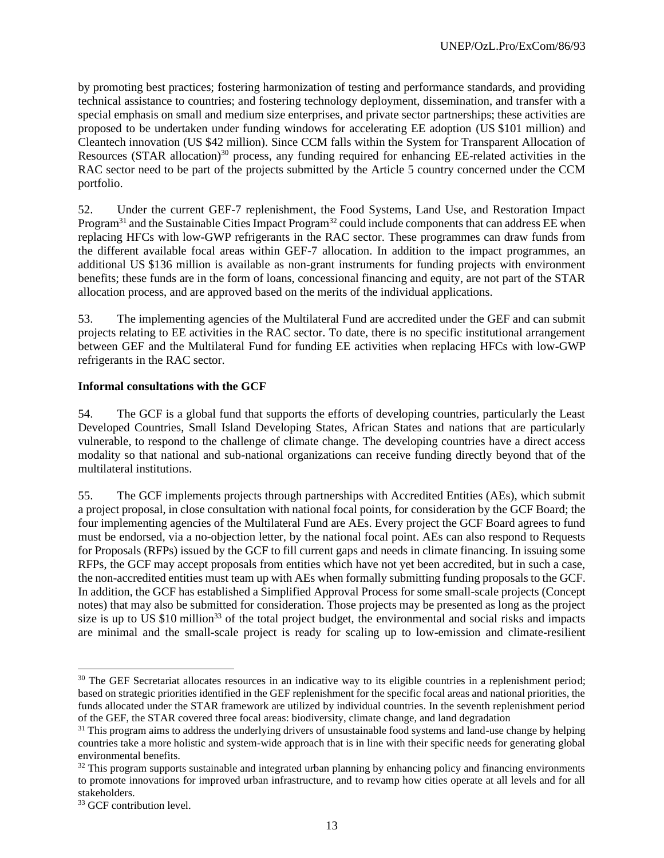by promoting best practices; fostering harmonization of testing and performance standards, and providing technical assistance to countries; and fostering technology deployment, dissemination, and transfer with a special emphasis on small and medium size enterprises, and private sector partnerships; these activities are proposed to be undertaken under funding windows for accelerating EE adoption (US \$101 million) and Cleantech innovation (US \$42 million). Since CCM falls within the System for Transparent Allocation of Resources (STAR allocation)<sup>30</sup> process, any funding required for enhancing EE-related activities in the RAC sector need to be part of the projects submitted by the Article 5 country concerned under the CCM portfolio.

52. Under the current GEF-7 replenishment, the Food Systems, Land Use, and Restoration Impact Program<sup>31</sup> and the Sustainable Cities Impact Program<sup>32</sup> could include components that can address EE when replacing HFCs with low-GWP refrigerants in the RAC sector. These programmes can draw funds from the different available focal areas within GEF-7 allocation. In addition to the impact programmes, an additional US \$136 million is available as non-grant instruments for funding projects with environment benefits; these funds are in the form of loans, concessional financing and equity, are not part of the STAR allocation process, and are approved based on the merits of the individual applications.

53. The implementing agencies of the Multilateral Fund are accredited under the GEF and can submit projects relating to EE activities in the RAC sector. To date, there is no specific institutional arrangement between GEF and the Multilateral Fund for funding EE activities when replacing HFCs with low-GWP refrigerants in the RAC sector.

## **Informal consultations with the GCF**

54. The GCF is a global fund that supports the efforts of developing countries, particularly the Least Developed Countries, Small Island Developing States, African States and nations that are particularly vulnerable, to respond to the challenge of climate change. The developing countries have a direct access modality so that national and sub-national organizations can receive funding directly beyond that of the multilateral institutions.

55. The GCF implements projects through partnerships with Accredited Entities (AEs), which submit a project proposal, in close consultation with national focal points, for consideration by the GCF Board; the four implementing agencies of the Multilateral Fund are AEs. Every project the GCF Board agrees to fund must be endorsed, via a no-objection letter, by the national focal point. AEs can also respond to Requests for Proposals (RFPs) issued by the GCF to fill current gaps and needs in climate financing. In issuing some RFPs, the GCF may accept proposals from entities which have not yet been accredited, but in such a case, the non-accredited entities must team up with AEs when formally submitting funding proposals to the GCF. In addition, the GCF has established a Simplified Approval Process for some small-scale projects (Concept notes) that may also be submitted for consideration. Those projects may be presented as long as the project size is up to US \$10 million<sup>33</sup> of the total project budget, the environmental and social risks and impacts are minimal and the small-scale project is ready for scaling up to low-emission and climate-resilient

<sup>&</sup>lt;sup>30</sup> The GEF Secretariat allocates resources in an indicative way to its eligible countries in a replenishment period; based on strategic priorities identified in the GEF replenishment for the specific focal areas and national priorities, the funds allocated under the STAR framework are utilized by individual countries. In the seventh replenishment period of the GEF, the STAR covered three focal areas: biodiversity, climate change, and land degradation

<sup>&</sup>lt;sup>31</sup> This program aims to address the underlying drivers of unsustainable food systems and land-use change by helping countries take a more holistic and system-wide approach that is in line with their specific needs for generating global environmental benefits.

 $32$  This program supports sustainable and integrated urban planning by enhancing policy and financing environments to promote innovations for improved urban infrastructure, and to revamp how cities operate at all levels and for all stakeholders.

<sup>&</sup>lt;sup>33</sup> GCF contribution level.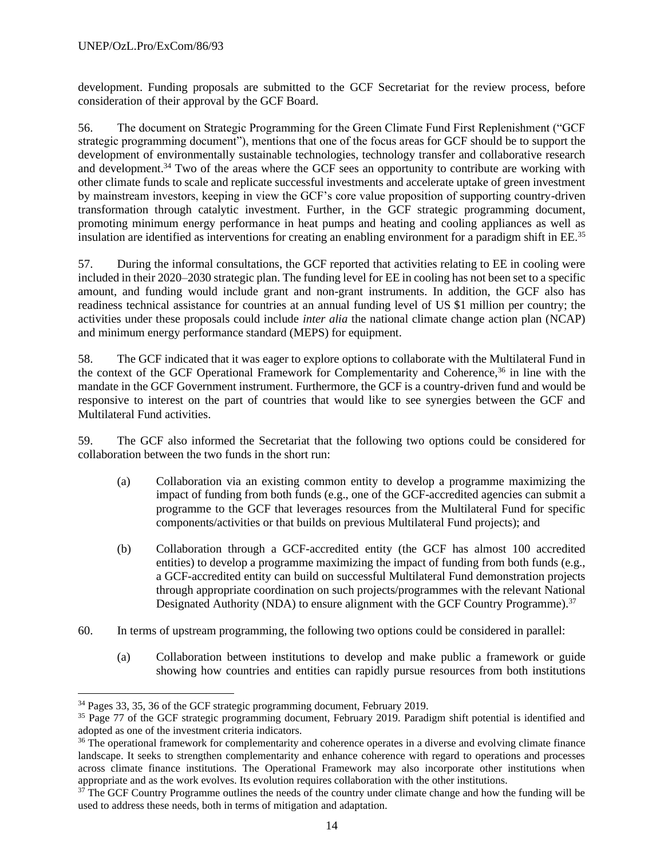development. Funding proposals are submitted to the GCF Secretariat for the review process, before consideration of their approval by the GCF Board.

56. The document on Strategic Programming for the Green Climate Fund First Replenishment ("GCF strategic programming document"), mentions that one of the focus areas for GCF should be to support the development of environmentally sustainable technologies, technology transfer and collaborative research and development.<sup>34</sup> Two of the areas where the GCF sees an opportunity to contribute are working with other climate funds to scale and replicate successful investments and accelerate uptake of green investment by mainstream investors, keeping in view the GCF's core value proposition of supporting country-driven transformation through catalytic investment. Further, in the GCF strategic programming document, promoting minimum energy performance in heat pumps and heating and cooling appliances as well as insulation are identified as interventions for creating an enabling environment for a paradigm shift in EE.<sup>35</sup>

57. During the informal consultations, the GCF reported that activities relating to EE in cooling were included in their 2020–2030 strategic plan. The funding level for EE in cooling has not been set to a specific amount, and funding would include grant and non-grant instruments. In addition, the GCF also has readiness technical assistance for countries at an annual funding level of US \$1 million per country; the activities under these proposals could include *inter alia* the national climate change action plan (NCAP) and minimum energy performance standard (MEPS) for equipment.

58. The GCF indicated that it was eager to explore options to collaborate with the Multilateral Fund in the context of the GCF Operational Framework for Complementarity and Coherence,<sup>36</sup> in line with the mandate in the GCF Government instrument. Furthermore, the GCF is a country-driven fund and would be responsive to interest on the part of countries that would like to see synergies between the GCF and Multilateral Fund activities.

59. The GCF also informed the Secretariat that the following two options could be considered for collaboration between the two funds in the short run:

- (a) Collaboration via an existing common entity to develop a programme maximizing the impact of funding from both funds (e.g., one of the GCF-accredited agencies can submit a programme to the GCF that leverages resources from the Multilateral Fund for specific components/activities or that builds on previous Multilateral Fund projects); and
- (b) Collaboration through a GCF-accredited entity (the GCF has almost 100 accredited entities) to develop a programme maximizing the impact of funding from both funds (e.g., a GCF-accredited entity can build on successful Multilateral Fund demonstration projects through appropriate coordination on such projects/programmes with the relevant National Designated Authority (NDA) to ensure alignment with the GCF Country Programme).<sup>37</sup>
- 60. In terms of upstream programming, the following two options could be considered in parallel:
	- (a) Collaboration between institutions to develop and make public a framework or guide showing how countries and entities can rapidly pursue resources from both institutions

<sup>34</sup> Pages 33, 35, 36 of the GCF strategic programming document, February 2019.

<sup>&</sup>lt;sup>35</sup> Page 77 of the GCF strategic programming document, February 2019. Paradigm shift potential is identified and adopted as one of the investment criteria indicators.

<sup>&</sup>lt;sup>36</sup> The operational framework for complementarity and coherence operates in a diverse and evolving climate finance landscape. It seeks to strengthen complementarity and enhance coherence with regard to operations and processes across climate finance institutions. The Operational Framework may also incorporate other institutions when appropriate and as the work evolves. Its evolution requires collaboration with the other institutions.

<sup>&</sup>lt;sup>37</sup> The GCF Country Programme outlines the needs of the country under climate change and how the funding will be used to address these needs, both in terms of mitigation and adaptation.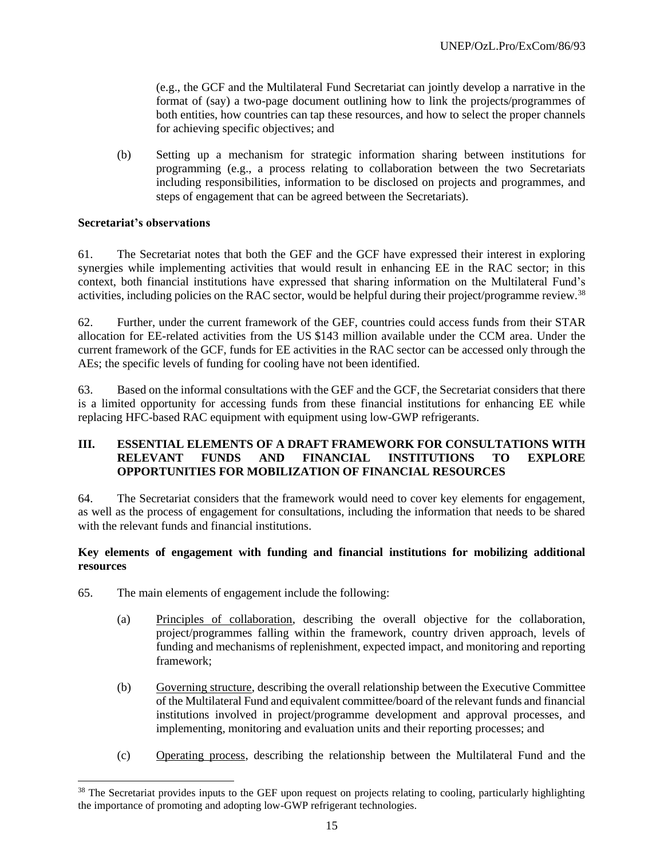(e.g., the GCF and the Multilateral Fund Secretariat can jointly develop a narrative in the format of (say) a two-page document outlining how to link the projects/programmes of both entities, how countries can tap these resources, and how to select the proper channels for achieving specific objectives; and

(b) Setting up a mechanism for strategic information sharing between institutions for programming (e.g., a process relating to collaboration between the two Secretariats including responsibilities, information to be disclosed on projects and programmes, and steps of engagement that can be agreed between the Secretariats).

#### **Secretariat's observations**

61. The Secretariat notes that both the GEF and the GCF have expressed their interest in exploring synergies while implementing activities that would result in enhancing EE in the RAC sector; in this context, both financial institutions have expressed that sharing information on the Multilateral Fund's activities, including policies on the RAC sector, would be helpful during their project/programme review.<sup>38</sup>

62. Further, under the current framework of the GEF, countries could access funds from their STAR allocation for EE-related activities from the US \$143 million available under the CCM area. Under the current framework of the GCF, funds for EE activities in the RAC sector can be accessed only through the AEs; the specific levels of funding for cooling have not been identified.

63. Based on the informal consultations with the GEF and the GCF, the Secretariat considers that there is a limited opportunity for accessing funds from these financial institutions for enhancing EE while replacing HFC-based RAC equipment with equipment using low-GWP refrigerants.

## **III. ESSENTIAL ELEMENTS OF A DRAFT FRAMEWORK FOR CONSULTATIONS WITH RELEVANT FUNDS AND FINANCIAL INSTITUTIONS TO EXPLORE OPPORTUNITIES FOR MOBILIZATION OF FINANCIAL RESOURCES**

64. The Secretariat considers that the framework would need to cover key elements for engagement, as well as the process of engagement for consultations, including the information that needs to be shared with the relevant funds and financial institutions.

#### **Key elements of engagement with funding and financial institutions for mobilizing additional resources**

- 65. The main elements of engagement include the following:
	- (a) Principles of collaboration, describing the overall objective for the collaboration, project/programmes falling within the framework, country driven approach, levels of funding and mechanisms of replenishment, expected impact, and monitoring and reporting framework;
	- (b) Governing structure, describing the overall relationship between the Executive Committee of the Multilateral Fund and equivalent committee/board of the relevant funds and financial institutions involved in project/programme development and approval processes, and implementing, monitoring and evaluation units and their reporting processes; and
	- (c) Operating process, describing the relationship between the Multilateral Fund and the

<sup>&</sup>lt;sup>38</sup> The Secretariat provides inputs to the GEF upon request on projects relating to cooling, particularly highlighting the importance of promoting and adopting low-GWP refrigerant technologies.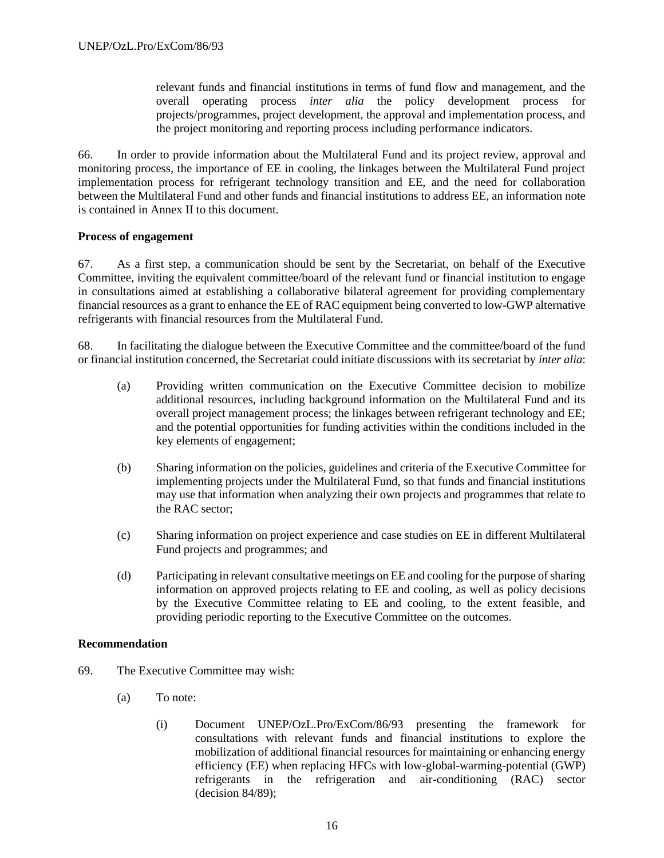relevant funds and financial institutions in terms of fund flow and management, and the overall operating process *inter alia* the policy development process for projects/programmes, project development, the approval and implementation process, and the project monitoring and reporting process including performance indicators.

66. In order to provide information about the Multilateral Fund and its project review, approval and monitoring process, the importance of EE in cooling, the linkages between the Multilateral Fund project implementation process for refrigerant technology transition and EE, and the need for collaboration between the Multilateral Fund and other funds and financial institutions to address EE, an information note is contained in Annex II to this document.

#### **Process of engagement**

67. As a first step, a communication should be sent by the Secretariat, on behalf of the Executive Committee, inviting the equivalent committee/board of the relevant fund or financial institution to engage in consultations aimed at establishing a collaborative bilateral agreement for providing complementary financial resources as a grant to enhance the EE of RAC equipment being converted to low-GWP alternative refrigerants with financial resources from the Multilateral Fund.

68. In facilitating the dialogue between the Executive Committee and the committee/board of the fund or financial institution concerned, the Secretariat could initiate discussions with its secretariat by *inter alia*:

- (a) Providing written communication on the Executive Committee decision to mobilize additional resources, including background information on the Multilateral Fund and its overall project management process; the linkages between refrigerant technology and EE; and the potential opportunities for funding activities within the conditions included in the key elements of engagement;
- (b) Sharing information on the policies, guidelines and criteria of the Executive Committee for implementing projects under the Multilateral Fund, so that funds and financial institutions may use that information when analyzing their own projects and programmes that relate to the RAC sector;
- (c) Sharing information on project experience and case studies on EE in different Multilateral Fund projects and programmes; and
- (d) Participating in relevant consultative meetings on EE and cooling for the purpose of sharing information on approved projects relating to EE and cooling, as well as policy decisions by the Executive Committee relating to EE and cooling, to the extent feasible, and providing periodic reporting to the Executive Committee on the outcomes.

#### **Recommendation**

- 69. The Executive Committee may wish:
	- (a) To note:
		- (i) Document UNEP/OzL.Pro/ExCom/86/93 presenting the framework for consultations with relevant funds and financial institutions to explore the mobilization of additional financial resources for maintaining or enhancing energy efficiency (EE) when replacing HFCs with low-global-warming-potential (GWP) refrigerants in the refrigeration and air-conditioning (RAC) sector (decision 84/89);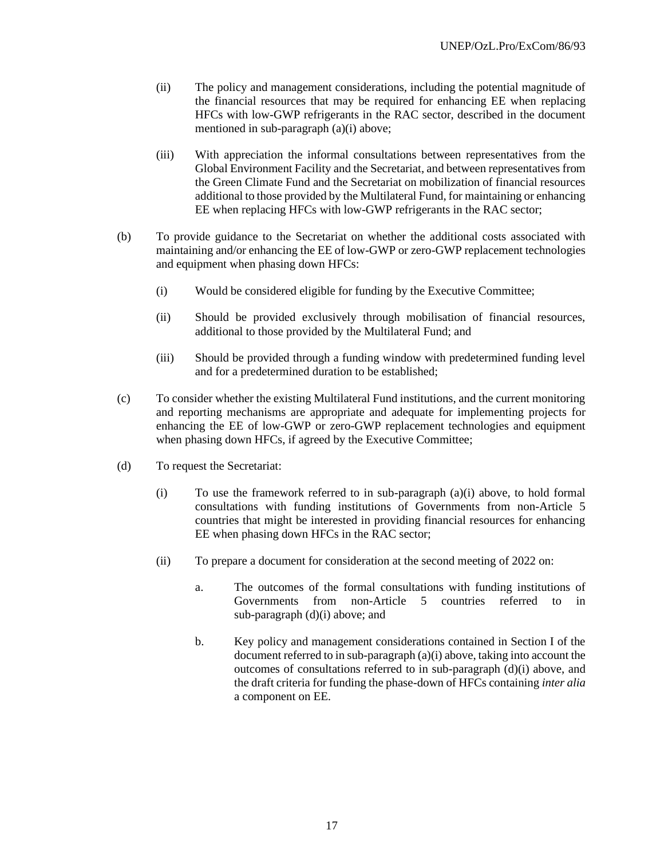- (ii) The policy and management considerations, including the potential magnitude of the financial resources that may be required for enhancing EE when replacing HFCs with low-GWP refrigerants in the RAC sector, described in the document mentioned in sub-paragraph (a)(i) above;
- (iii) With appreciation the informal consultations between representatives from the Global Environment Facility and the Secretariat, and between representatives from the Green Climate Fund and the Secretariat on mobilization of financial resources additional to those provided by the Multilateral Fund, for maintaining or enhancing EE when replacing HFCs with low-GWP refrigerants in the RAC sector;
- (b) To provide guidance to the Secretariat on whether the additional costs associated with maintaining and/or enhancing the EE of low-GWP or zero-GWP replacement technologies and equipment when phasing down HFCs:
	- (i) Would be considered eligible for funding by the Executive Committee;
	- (ii) Should be provided exclusively through mobilisation of financial resources, additional to those provided by the Multilateral Fund; and
	- (iii) Should be provided through a funding window with predetermined funding level and for a predetermined duration to be established;
- (c) To consider whether the existing Multilateral Fund institutions, and the current monitoring and reporting mechanisms are appropriate and adequate for implementing projects for enhancing the EE of low-GWP or zero-GWP replacement technologies and equipment when phasing down HFCs, if agreed by the Executive Committee;
- (d) To request the Secretariat:
	- (i) To use the framework referred to in sub-paragraph (a)(i) above, to hold formal consultations with funding institutions of Governments from non-Article 5 countries that might be interested in providing financial resources for enhancing EE when phasing down HFCs in the RAC sector;
	- (ii) To prepare a document for consideration at the second meeting of 2022 on:
		- a. The outcomes of the formal consultations with funding institutions of Governments from non-Article 5 countries referred to in sub-paragraph (d)(i) above; and
		- b. Key policy and management considerations contained in Section I of the document referred to in sub-paragraph (a)(i) above, taking into account the outcomes of consultations referred to in sub-paragraph (d)(i) above, and the draft criteria for funding the phase-down of HFCs containing *inter alia* a component on EE.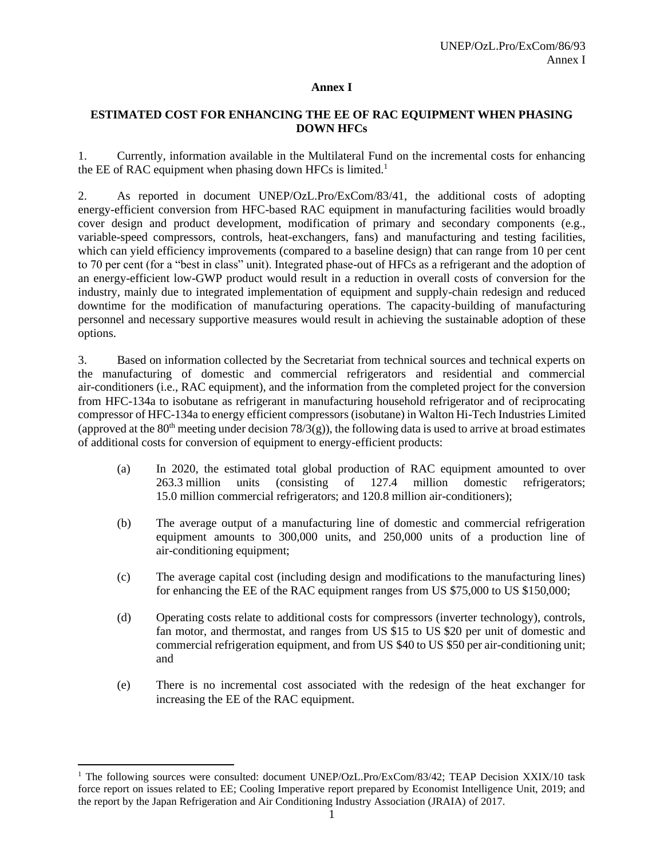#### **Annex I**

#### **ESTIMATED COST FOR ENHANCING THE EE OF RAC EQUIPMENT WHEN PHASING DOWN HFCs**

1. Currently, information available in the Multilateral Fund on the incremental costs for enhancing the EE of RAC equipment when phasing down HFCs is limited.<sup>1</sup>

2. As reported in document UNEP/OzL.Pro/ExCom/83/41, the additional costs of adopting energy-efficient conversion from HFC-based RAC equipment in manufacturing facilities would broadly cover design and product development, modification of primary and secondary components (e.g., variable-speed compressors, controls, heat-exchangers, fans) and manufacturing and testing facilities, which can yield efficiency improvements (compared to a baseline design) that can range from 10 per cent to 70 per cent (for a "best in class" unit). Integrated phase-out of HFCs as a refrigerant and the adoption of an energy-efficient low-GWP product would result in a reduction in overall costs of conversion for the industry, mainly due to integrated implementation of equipment and supply-chain redesign and reduced downtime for the modification of manufacturing operations. The capacity-building of manufacturing personnel and necessary supportive measures would result in achieving the sustainable adoption of these options.

3. Based on information collected by the Secretariat from technical sources and technical experts on the manufacturing of domestic and commercial refrigerators and residential and commercial air-conditioners (i.e., RAC equipment), and the information from the completed project for the conversion from HFC-134a to isobutane as refrigerant in manufacturing household refrigerator and of reciprocating compressor of HFC-134a to energy efficient compressors (isobutane) in Walton Hi-Tech Industries Limited (approved at the 80<sup>th</sup> meeting under decision 78/3(g)), the following data is used to arrive at broad estimates of additional costs for conversion of equipment to energy-efficient products:

- (a) In 2020, the estimated total global production of RAC equipment amounted to over 263.3 million units (consisting of 127.4 million domestic refrigerators; 15.0 million commercial refrigerators; and 120.8 million air-conditioners);
- (b) The average output of a manufacturing line of domestic and commercial refrigeration equipment amounts to 300,000 units, and 250,000 units of a production line of air-conditioning equipment;
- (c) The average capital cost (including design and modifications to the manufacturing lines) for enhancing the EE of the RAC equipment ranges from US \$75,000 to US \$150,000;
- (d) Operating costs relate to additional costs for compressors (inverter technology), controls, fan motor, and thermostat, and ranges from US \$15 to US \$20 per unit of domestic and commercial refrigeration equipment, and from US \$40 to US \$50 per air-conditioning unit; and
- (e) There is no incremental cost associated with the redesign of the heat exchanger for increasing the EE of the RAC equipment.

<sup>&</sup>lt;sup>1</sup> The following sources were consulted: document UNEP/OzL.Pro/ExCom/83/42; TEAP Decision XXIX/10 task force report on issues related to EE; Cooling Imperative report prepared by Economist Intelligence Unit, 2019; and the report by the Japan Refrigeration and Air Conditioning Industry Association (JRAIA) of 2017.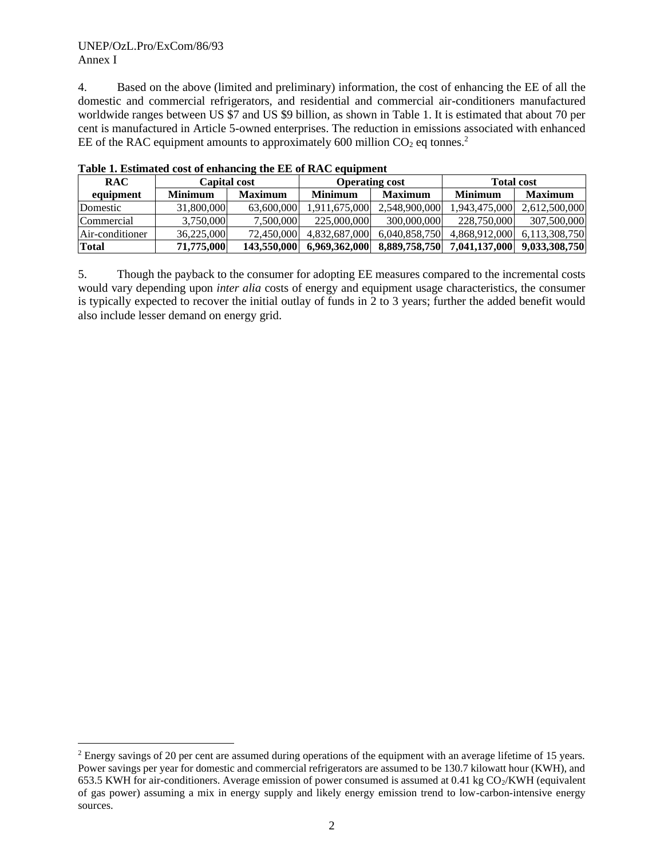#### UNEP/OzL.Pro/ExCom/86/93 Annex I

4. Based on the above (limited and preliminary) information, the cost of enhancing the EE of all the domestic and commercial refrigerators, and residential and commercial air-conditioners manufactured worldwide ranges between US \$7 and US \$9 billion, as shown in Table 1. It is estimated that about 70 per cent is manufactured in Article 5-owned enterprises. The reduction in emissions associated with enhanced EE of the RAC equipment amounts to approximately 600 million  $CO<sub>2</sub>$  eq tonnes.<sup>2</sup>

| <b>RAC</b>      | <b>Capital cost</b> |                | <b>Operating cost</b> |                | <b>Total cost</b> |                |
|-----------------|---------------------|----------------|-----------------------|----------------|-------------------|----------------|
| equipment       | <b>Minimum</b>      | <b>Maximum</b> | <b>Minimum</b>        | <b>Maximum</b> | <b>Minimum</b>    | <b>Maximum</b> |
| Domestic        | 31,800,000          | 63,600,000     | 1,911,675,000         | 2.548.900.000  | 1,943,475,000     | 2,612,500,000  |
| Commercial      | 3,750,000           | 7.500.000      | 225,000,000           | 300,000,000    | 228.750.000       | 307,500,000    |
| Air-conditioner | 36.225,000          | 72,450,000     | 4.832.687.000         | 6.040.858.750  | 4.868.912.000     | 6,113,308,750  |
| <b>Total</b>    | 71,775,000          | 143,550,000    | 6,969,362,000         | 8,889,758,750  | 7,041,137,000     | 9,033,308,750  |

**Table 1. Estimated cost of enhancing the EE of RAC equipment** 

5. Though the payback to the consumer for adopting EE measures compared to the incremental costs would vary depending upon *inter alia* costs of energy and equipment usage characteristics, the consumer is typically expected to recover the initial outlay of funds in 2 to 3 years; further the added benefit would also include lesser demand on energy grid.

<sup>&</sup>lt;sup>2</sup> Energy savings of 20 per cent are assumed during operations of the equipment with an average lifetime of 15 years. Power savings per year for domestic and commercial refrigerators are assumed to be 130.7 kilowatt hour (KWH), and 653.5 KWH for air-conditioners. Average emission of power consumed is assumed at 0.41 kg  $CO<sub>2</sub>/KWH$  (equivalent of gas power) assuming a mix in energy supply and likely energy emission trend to low-carbon-intensive energy sources.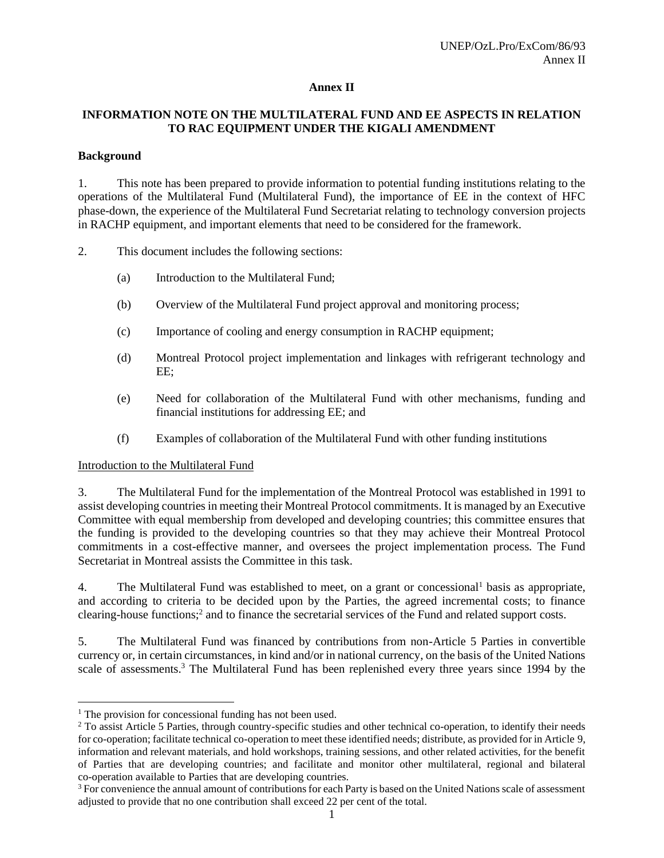#### **Annex II**

## **INFORMATION NOTE ON THE MULTILATERAL FUND AND EE ASPECTS IN RELATION TO RAC EQUIPMENT UNDER THE KIGALI AMENDMENT**

#### **Background**

1. This note has been prepared to provide information to potential funding institutions relating to the operations of the Multilateral Fund (Multilateral Fund), the importance of EE in the context of HFC phase-down, the experience of the Multilateral Fund Secretariat relating to technology conversion projects in RACHP equipment, and important elements that need to be considered for the framework.

2. This document includes the following sections:

- (a) Introduction to the Multilateral Fund;
- (b) Overview of the Multilateral Fund project approval and monitoring process;
- (c) Importance of cooling and energy consumption in RACHP equipment;
- (d) Montreal Protocol project implementation and linkages with refrigerant technology and EE;
- (e) Need for collaboration of the Multilateral Fund with other mechanisms, funding and financial institutions for addressing EE; and
- (f) Examples of collaboration of the Multilateral Fund with other funding institutions

Introduction to the Multilateral Fund

3. The Multilateral Fund for the implementation of the Montreal Protocol was established in 1991 to assist developing countries in meeting their Montreal Protocol commitments. It is managed by an Executive Committee with equal membership from developed and developing countries; this committee ensures that the funding is provided to the developing countries so that they may achieve their Montreal Protocol commitments in a cost-effective manner, and oversees the project implementation process. The Fund Secretariat in Montreal assists the Committee in this task.

4. The Multilateral Fund was established to meet, on a grant or concessional basis as appropriate, and according to criteria to be decided upon by the Parties, the agreed incremental costs; to finance clearing-house functions;<sup>2</sup> and to finance the secretarial services of the Fund and related support costs.

5. The Multilateral Fund was financed by contributions from non-Article 5 Parties in convertible currency or, in certain circumstances, in kind and/or in national currency, on the basis of the United Nations scale of assessments.<sup>3</sup> The Multilateral Fund has been replenished every three years since 1994 by the

<sup>&</sup>lt;sup>1</sup> The provision for concessional funding has not been used.

<sup>&</sup>lt;sup>2</sup> To assist Article 5 Parties, through country-specific studies and other technical co-operation, to identify their needs for co-operation; facilitate technical co-operation to meet these identified needs; distribute, as provided for in Article 9, information and relevant materials, and hold workshops, training sessions, and other related activities, for the benefit of Parties that are developing countries; and facilitate and monitor other multilateral, regional and bilateral co-operation available to Parties that are developing countries.

<sup>&</sup>lt;sup>3</sup> For convenience the annual amount of contributions for each Party is based on the United Nations scale of assessment adjusted to provide that no one contribution shall exceed 22 per cent of the total.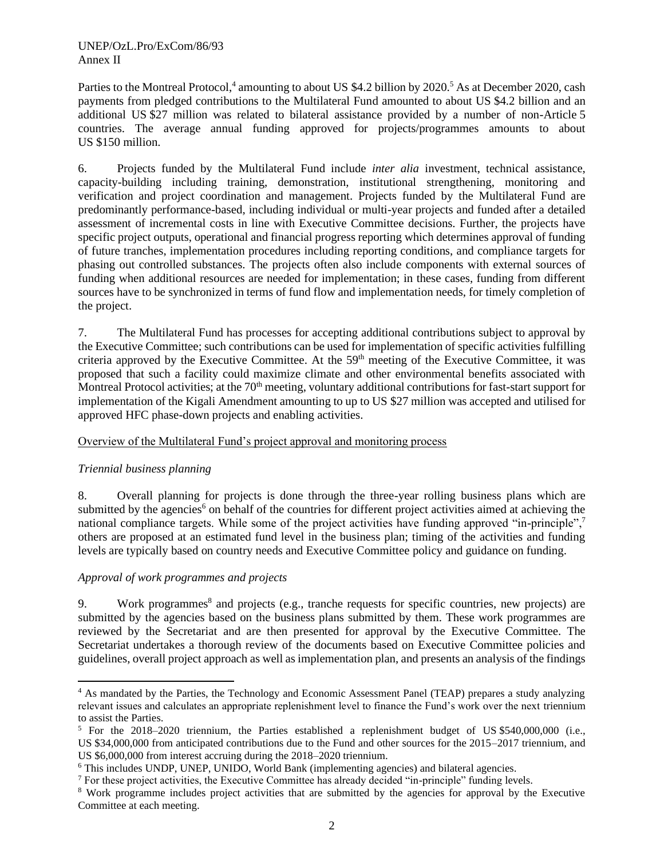Parties to the Montreal Protocol,<sup>4</sup> amounting to about US \$4.2 billion by 2020.<sup>5</sup> As at December 2020, cash payments from pledged contributions to the Multilateral Fund amounted to about US \$4.2 billion and an additional US \$27 million was related to bilateral assistance provided by a number of non-Article 5 countries. The average annual funding approved for projects/programmes amounts to about US \$150 million.

6. Projects funded by the Multilateral Fund include *inter alia* investment, technical assistance, capacity-building including training, demonstration, institutional strengthening, monitoring and verification and project coordination and management. Projects funded by the Multilateral Fund are predominantly performance-based, including individual or multi-year projects and funded after a detailed assessment of incremental costs in line with Executive Committee decisions. Further, the projects have specific project outputs, operational and financial progress reporting which determines approval of funding of future tranches, implementation procedures including reporting conditions, and compliance targets for phasing out controlled substances. The projects often also include components with external sources of funding when additional resources are needed for implementation; in these cases, funding from different sources have to be synchronized in terms of fund flow and implementation needs, for timely completion of the project.

7. The Multilateral Fund has processes for accepting additional contributions subject to approval by the Executive Committee; such contributions can be used for implementation of specific activities fulfilling criteria approved by the Executive Committee. At the 59<sup>th</sup> meeting of the Executive Committee, it was proposed that such a facility could maximize climate and other environmental benefits associated with Montreal Protocol activities; at the 70<sup>th</sup> meeting, voluntary additional contributions for fast-start support for implementation of the Kigali Amendment amounting to up to US \$27 million was accepted and utilised for approved HFC phase-down projects and enabling activities.

#### Overview of the Multilateral Fund's project approval and monitoring process

## *Triennial business planning*

8. Overall planning for projects is done through the three-year rolling business plans which are submitted by the agencies<sup>6</sup> on behalf of the countries for different project activities aimed at achieving the national compliance targets. While some of the project activities have funding approved "in-principle",<sup>7</sup> others are proposed at an estimated fund level in the business plan; timing of the activities and funding levels are typically based on country needs and Executive Committee policy and guidance on funding.

## *Approval of work programmes and projects*

9. Work programmes<sup>8</sup> and projects (e.g., tranche requests for specific countries, new projects) are submitted by the agencies based on the business plans submitted by them. These work programmes are reviewed by the Secretariat and are then presented for approval by the Executive Committee. The Secretariat undertakes a thorough review of the documents based on Executive Committee policies and guidelines, overall project approach as well as implementation plan, and presents an analysis of the findings

<sup>4</sup> As mandated by the Parties, the Technology and Economic Assessment Panel (TEAP) prepares a study analyzing relevant issues and calculates an appropriate replenishment level to finance the Fund's work over the next triennium to assist the Parties.

<sup>5</sup> For the 2018–2020 triennium, the Parties established a replenishment budget of US \$540,000,000 (i.e., US \$34,000,000 from anticipated contributions due to the Fund and other sources for the 2015–2017 triennium, and US \$6,000,000 from interest accruing during the 2018–2020 triennium.

<sup>&</sup>lt;sup>6</sup> This includes UNDP, UNEP, UNIDO, World Bank (implementing agencies) and bilateral agencies.

<sup>7</sup> For these project activities, the Executive Committee has already decided "in-principle" funding levels.

<sup>8</sup> Work programme includes project activities that are submitted by the agencies for approval by the Executive Committee at each meeting.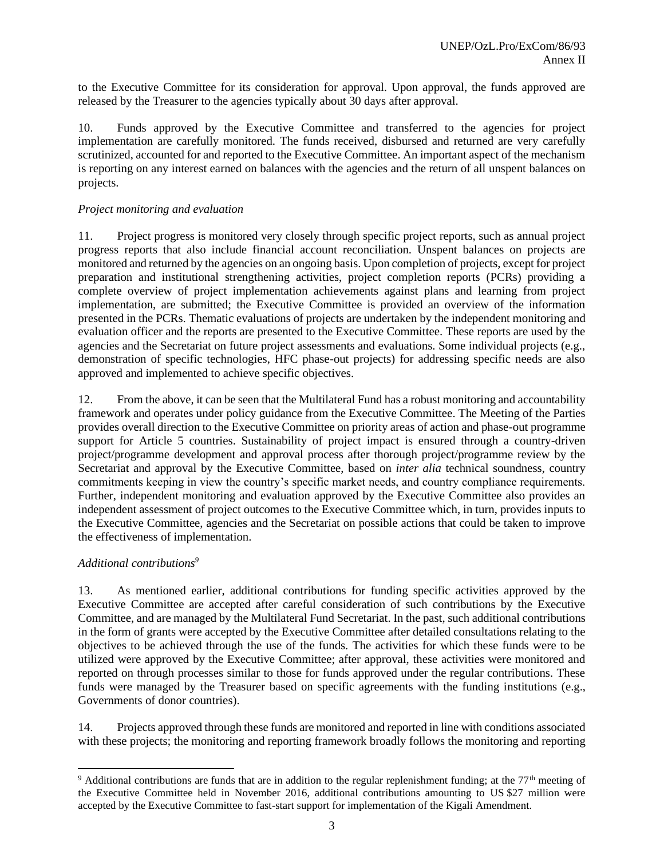to the Executive Committee for its consideration for approval. Upon approval, the funds approved are released by the Treasurer to the agencies typically about 30 days after approval.

10. Funds approved by the Executive Committee and transferred to the agencies for project implementation are carefully monitored. The funds received, disbursed and returned are very carefully scrutinized, accounted for and reported to the Executive Committee. An important aspect of the mechanism is reporting on any interest earned on balances with the agencies and the return of all unspent balances on projects.

## *Project monitoring and evaluation*

11. Project progress is monitored very closely through specific project reports, such as annual project progress reports that also include financial account reconciliation. Unspent balances on projects are monitored and returned by the agencies on an ongoing basis. Upon completion of projects, except for project preparation and institutional strengthening activities, project completion reports (PCRs) providing a complete overview of project implementation achievements against plans and learning from project implementation, are submitted; the Executive Committee is provided an overview of the information presented in the PCRs. Thematic evaluations of projects are undertaken by the independent monitoring and evaluation officer and the reports are presented to the Executive Committee. These reports are used by the agencies and the Secretariat on future project assessments and evaluations. Some individual projects (e.g., demonstration of specific technologies, HFC phase-out projects) for addressing specific needs are also approved and implemented to achieve specific objectives.

12. From the above, it can be seen that the Multilateral Fund has a robust monitoring and accountability framework and operates under policy guidance from the Executive Committee. The Meeting of the Parties provides overall direction to the Executive Committee on priority areas of action and phase-out programme support for Article 5 countries. Sustainability of project impact is ensured through a country-driven project/programme development and approval process after thorough project/programme review by the Secretariat and approval by the Executive Committee, based on *inter alia* technical soundness, country commitments keeping in view the country's specific market needs, and country compliance requirements. Further, independent monitoring and evaluation approved by the Executive Committee also provides an independent assessment of project outcomes to the Executive Committee which, in turn, provides inputs to the Executive Committee, agencies and the Secretariat on possible actions that could be taken to improve the effectiveness of implementation.

#### *Additional contributions<sup>9</sup>*

13. As mentioned earlier, additional contributions for funding specific activities approved by the Executive Committee are accepted after careful consideration of such contributions by the Executive Committee, and are managed by the Multilateral Fund Secretariat. In the past, such additional contributions in the form of grants were accepted by the Executive Committee after detailed consultations relating to the objectives to be achieved through the use of the funds. The activities for which these funds were to be utilized were approved by the Executive Committee; after approval, these activities were monitored and reported on through processes similar to those for funds approved under the regular contributions. These funds were managed by the Treasurer based on specific agreements with the funding institutions (e.g., Governments of donor countries).

14. Projects approved through these funds are monitored and reported in line with conditions associated with these projects; the monitoring and reporting framework broadly follows the monitoring and reporting

<sup>&</sup>lt;sup>9</sup> Additional contributions are funds that are in addition to the regular replenishment funding; at the  $77<sup>th</sup>$  meeting of the Executive Committee held in November 2016, additional contributions amounting to US \$27 million were accepted by the Executive Committee to fast-start support for implementation of the Kigali Amendment.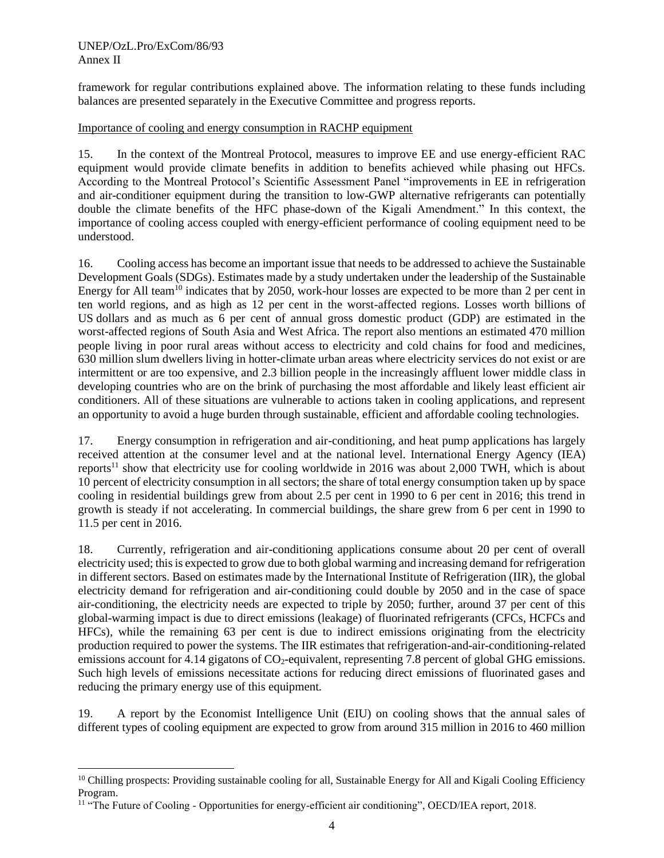#### UNEP/OzL.Pro/ExCom/86/93 Annex II

framework for regular contributions explained above. The information relating to these funds including balances are presented separately in the Executive Committee and progress reports.

#### Importance of cooling and energy consumption in RACHP equipment

15. In the context of the Montreal Protocol, measures to improve EE and use energy-efficient RAC equipment would provide climate benefits in addition to benefits achieved while phasing out HFCs. According to the Montreal Protocol's Scientific Assessment Panel "improvements in EE in refrigeration and air-conditioner equipment during the transition to low-GWP alternative refrigerants can potentially double the climate benefits of the HFC phase-down of the Kigali Amendment." In this context, the importance of cooling access coupled with energy-efficient performance of cooling equipment need to be understood.

16. Cooling access has become an important issue that needs to be addressed to achieve the Sustainable Development Goals (SDGs). Estimates made by a study undertaken under the leadership of the Sustainable Energy for All team<sup>10</sup> indicates that by 2050, work-hour losses are expected to be more than 2 per cent in ten world regions, and as high as 12 per cent in the worst-affected regions. Losses worth billions of US dollars and as much as 6 per cent of annual gross domestic product (GDP) are estimated in the worst-affected regions of South Asia and West Africa. The report also mentions an estimated 470 million people living in poor rural areas without access to electricity and cold chains for food and medicines, 630 million slum dwellers living in hotter-climate urban areas where electricity services do not exist or are intermittent or are too expensive, and 2.3 billion people in the increasingly affluent lower middle class in developing countries who are on the brink of purchasing the most affordable and likely least efficient air conditioners. All of these situations are vulnerable to actions taken in cooling applications, and represent an opportunity to avoid a huge burden through sustainable, efficient and affordable cooling technologies.

17. Energy consumption in refrigeration and air-conditioning, and heat pump applications has largely received attention at the consumer level and at the national level. International Energy Agency (IEA) reports<sup>11</sup> show that electricity use for cooling worldwide in 2016 was about 2,000 TWH, which is about 10 percent of electricity consumption in all sectors; the share of total energy consumption taken up by space cooling in residential buildings grew from about 2.5 per cent in 1990 to 6 per cent in 2016; this trend in growth is steady if not accelerating. In commercial buildings, the share grew from 6 per cent in 1990 to 11.5 per cent in 2016.

18. Currently, refrigeration and air-conditioning applications consume about 20 per cent of overall electricity used; this is expected to grow due to both global warming and increasing demand for refrigeration in different sectors. Based on estimates made by the International Institute of Refrigeration (IIR), the global electricity demand for refrigeration and air-conditioning could double by 2050 and in the case of space air-conditioning, the electricity needs are expected to triple by 2050; further, around 37 per cent of this global-warming impact is due to direct emissions (leakage) of fluorinated refrigerants (CFCs, HCFCs and HFCs), while the remaining 63 per cent is due to indirect emissions originating from the electricity production required to power the systems. The IIR estimates that refrigeration-and-air-conditioning-related emissions account for 4.14 gigatons of CO<sub>2</sub>-equivalent, representing 7.8 percent of global GHG emissions. Such high levels of emissions necessitate actions for reducing direct emissions of fluorinated gases and reducing the primary energy use of this equipment.

19. A report by the Economist Intelligence Unit (EIU) on cooling shows that the annual sales of different types of cooling equipment are expected to grow from around 315 million in 2016 to 460 million

 $10$  Chilling prospects: Providing sustainable cooling for all, Sustainable Energy for All and Kigali Cooling Efficiency Program.

<sup>&</sup>lt;sup>11</sup> "The Future of Cooling - Opportunities for energy-efficient air conditioning", OECD/IEA report, 2018.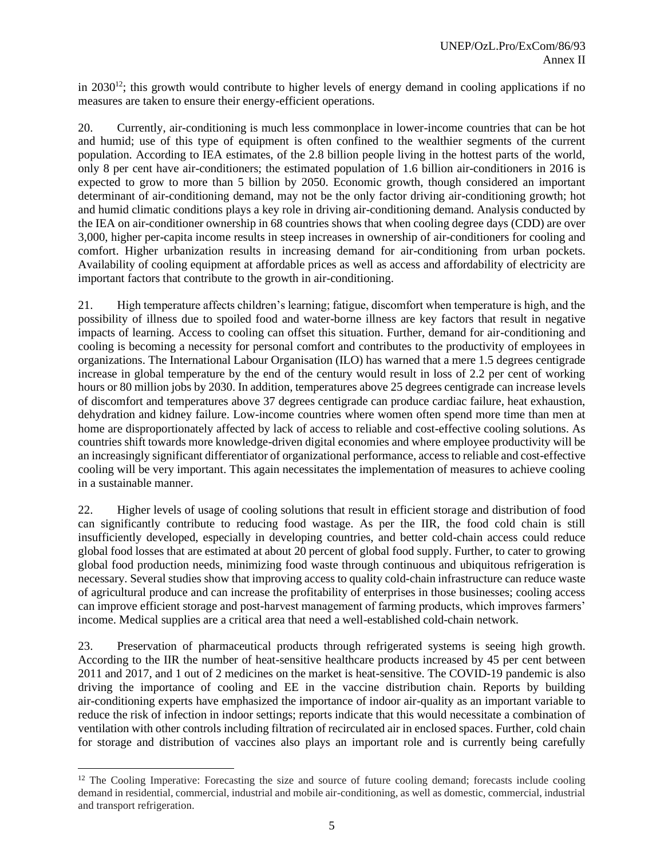in 2030<sup>12</sup>; this growth would contribute to higher levels of energy demand in cooling applications if no measures are taken to ensure their energy-efficient operations.

20. Currently, air-conditioning is much less commonplace in lower-income countries that can be hot and humid; use of this type of equipment is often confined to the wealthier segments of the current population. According to IEA estimates, of the 2.8 billion people living in the hottest parts of the world, only 8 per cent have air-conditioners; the estimated population of 1.6 billion air-conditioners in 2016 is expected to grow to more than 5 billion by 2050. Economic growth, though considered an important determinant of air-conditioning demand, may not be the only factor driving air-conditioning growth; hot and humid climatic conditions plays a key role in driving air-conditioning demand. Analysis conducted by the IEA on air-conditioner ownership in 68 countries shows that when cooling degree days (CDD) are over 3,000, higher per-capita income results in steep increases in ownership of air-conditioners for cooling and comfort. Higher urbanization results in increasing demand for air-conditioning from urban pockets. Availability of cooling equipment at affordable prices as well as access and affordability of electricity are important factors that contribute to the growth in air-conditioning.

21. High temperature affects children's learning; fatigue, discomfort when temperature is high, and the possibility of illness due to spoiled food and water-borne illness are key factors that result in negative impacts of learning. Access to cooling can offset this situation. Further, demand for air-conditioning and cooling is becoming a necessity for personal comfort and contributes to the productivity of employees in organizations. The International Labour Organisation (ILO) has warned that a mere 1.5 degrees centigrade increase in global temperature by the end of the century would result in loss of 2.2 per cent of working hours or 80 million jobs by 2030. In addition, temperatures above 25 degrees centigrade can increase levels of discomfort and temperatures above 37 degrees centigrade can produce cardiac failure, heat exhaustion, dehydration and kidney failure. Low-income countries where women often spend more time than men at home are disproportionately affected by lack of access to reliable and cost-effective cooling solutions. As countries shift towards more knowledge-driven digital economies and where employee productivity will be an increasingly significant differentiator of organizational performance, access to reliable and cost-effective cooling will be very important. This again necessitates the implementation of measures to achieve cooling in a sustainable manner.

22. Higher levels of usage of cooling solutions that result in efficient storage and distribution of food can significantly contribute to reducing food wastage. As per the IIR, the food cold chain is still insufficiently developed, especially in developing countries, and better cold-chain access could reduce global food losses that are estimated at about 20 percent of global food supply. Further, to cater to growing global food production needs, minimizing food waste through continuous and ubiquitous refrigeration is necessary. Several studies show that improving access to quality cold-chain infrastructure can reduce waste of agricultural produce and can increase the profitability of enterprises in those businesses; cooling access can improve efficient storage and post-harvest management of farming products, which improves farmers' income. Medical supplies are a critical area that need a well-established cold-chain network.

23. Preservation of pharmaceutical products through refrigerated systems is seeing high growth. According to the IIR the number of heat-sensitive healthcare products increased by 45 per cent between 2011 and 2017, and 1 out of 2 medicines on the market is heat-sensitive. The COVID-19 pandemic is also driving the importance of cooling and EE in the vaccine distribution chain. Reports by building air-conditioning experts have emphasized the importance of indoor air-quality as an important variable to reduce the risk of infection in indoor settings; reports indicate that this would necessitate a combination of ventilation with other controls including filtration of recirculated air in enclosed spaces. Further, cold chain for storage and distribution of vaccines also plays an important role and is currently being carefully

<sup>&</sup>lt;sup>12</sup> The Cooling Imperative: Forecasting the size and source of future cooling demand; forecasts include cooling demand in residential, commercial, industrial and mobile air-conditioning, as well as domestic, commercial, industrial and transport refrigeration.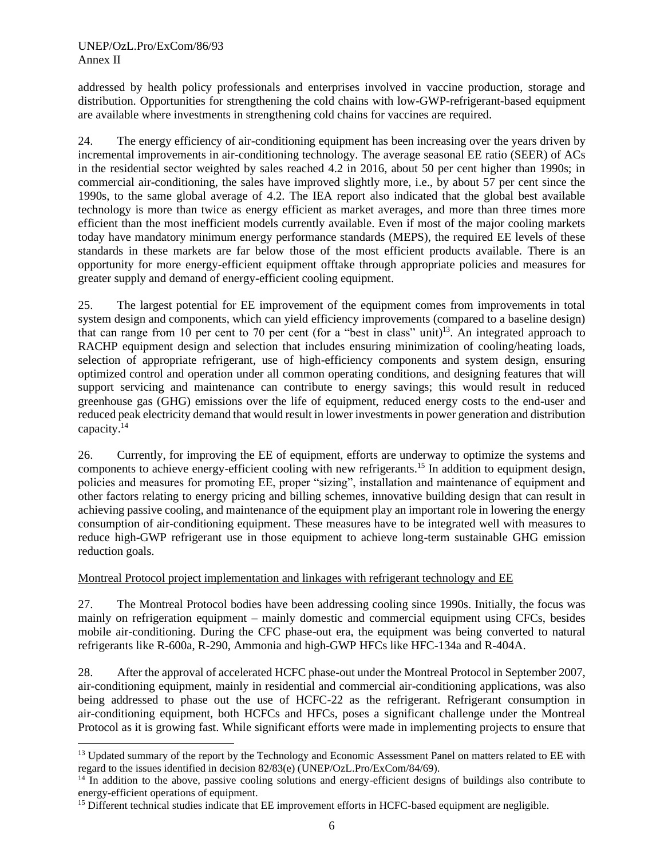#### UNEP/OzL.Pro/ExCom/86/93 Annex II

addressed by health policy professionals and enterprises involved in vaccine production, storage and distribution. Opportunities for strengthening the cold chains with low-GWP-refrigerant-based equipment are available where investments in strengthening cold chains for vaccines are required.

24. The energy efficiency of air-conditioning equipment has been increasing over the years driven by incremental improvements in air-conditioning technology. The average seasonal EE ratio (SEER) of ACs in the residential sector weighted by sales reached 4.2 in 2016, about 50 per cent higher than 1990s; in commercial air-conditioning, the sales have improved slightly more, i.e., by about 57 per cent since the 1990s, to the same global average of 4.2. The IEA report also indicated that the global best available technology is more than twice as energy efficient as market averages, and more than three times more efficient than the most inefficient models currently available. Even if most of the major cooling markets today have mandatory minimum energy performance standards (MEPS), the required EE levels of these standards in these markets are far below those of the most efficient products available. There is an opportunity for more energy-efficient equipment offtake through appropriate policies and measures for greater supply and demand of energy-efficient cooling equipment.

25. The largest potential for EE improvement of the equipment comes from improvements in total system design and components, which can yield efficiency improvements (compared to a baseline design) that can range from 10 per cent to 70 per cent (for a "best in class" unit)<sup>13</sup>. An integrated approach to RACHP equipment design and selection that includes ensuring minimization of cooling/heating loads, selection of appropriate refrigerant, use of high-efficiency components and system design, ensuring optimized control and operation under all common operating conditions, and designing features that will support servicing and maintenance can contribute to energy savings; this would result in reduced greenhouse gas (GHG) emissions over the life of equipment, reduced energy costs to the end-user and reduced peak electricity demand that would result in lower investments in power generation and distribution capacity.<sup>14</sup>

26. Currently, for improving the EE of equipment, efforts are underway to optimize the systems and components to achieve energy-efficient cooling with new refrigerants.<sup>15</sup> In addition to equipment design, policies and measures for promoting EE, proper "sizing", installation and maintenance of equipment and other factors relating to energy pricing and billing schemes, innovative building design that can result in achieving passive cooling, and maintenance of the equipment play an important role in lowering the energy consumption of air-conditioning equipment. These measures have to be integrated well with measures to reduce high-GWP refrigerant use in those equipment to achieve long-term sustainable GHG emission reduction goals.

#### Montreal Protocol project implementation and linkages with refrigerant technology and EE

27. The Montreal Protocol bodies have been addressing cooling since 1990s. Initially, the focus was mainly on refrigeration equipment – mainly domestic and commercial equipment using CFCs, besides mobile air-conditioning. During the CFC phase-out era, the equipment was being converted to natural refrigerants like R-600a, R-290, Ammonia and high-GWP HFCs like HFC-134a and R-404A.

28. After the approval of accelerated HCFC phase-out under the Montreal Protocol in September 2007, air-conditioning equipment, mainly in residential and commercial air-conditioning applications, was also being addressed to phase out the use of HCFC-22 as the refrigerant. Refrigerant consumption in air-conditioning equipment, both HCFCs and HFCs, poses a significant challenge under the Montreal Protocol as it is growing fast. While significant efforts were made in implementing projects to ensure that

<sup>&</sup>lt;sup>13</sup> Updated summary of the report by the Technology and Economic Assessment Panel on matters related to EE with regard to the issues identified in decision 82/83(e) (UNEP/OzL.Pro/ExCom/84/69).

<sup>&</sup>lt;sup>14</sup> In addition to the above, passive cooling solutions and energy-efficient designs of buildings also contribute to energy-efficient operations of equipment.

<sup>&</sup>lt;sup>15</sup> Different technical studies indicate that EE improvement efforts in HCFC-based equipment are negligible.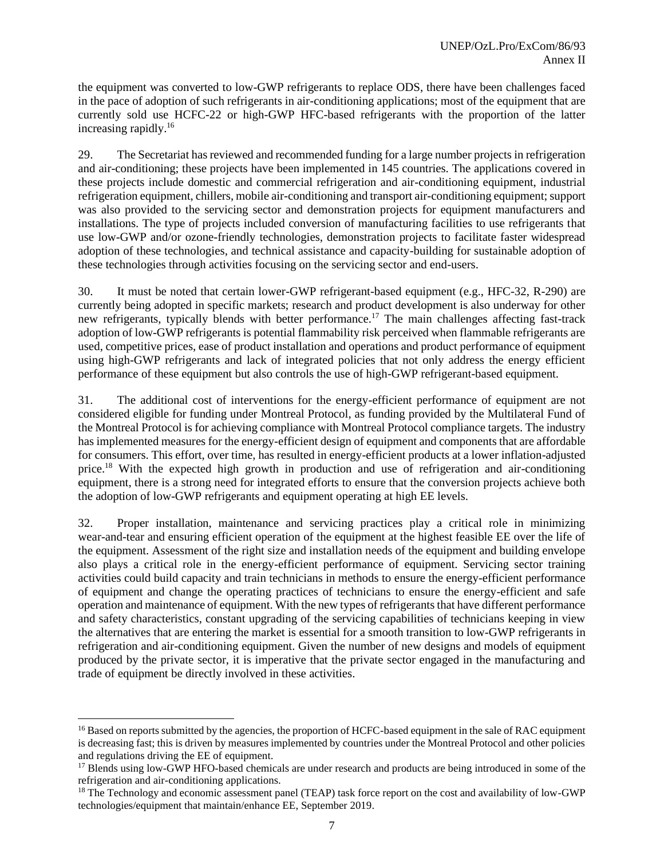the equipment was converted to low-GWP refrigerants to replace ODS, there have been challenges faced in the pace of adoption of such refrigerants in air-conditioning applications; most of the equipment that are currently sold use HCFC-22 or high-GWP HFC-based refrigerants with the proportion of the latter increasing rapidly.<sup>16</sup>

29. The Secretariat has reviewed and recommended funding for a large number projects in refrigeration and air-conditioning; these projects have been implemented in 145 countries. The applications covered in these projects include domestic and commercial refrigeration and air-conditioning equipment, industrial refrigeration equipment, chillers, mobile air-conditioning and transport air-conditioning equipment; support was also provided to the servicing sector and demonstration projects for equipment manufacturers and installations. The type of projects included conversion of manufacturing facilities to use refrigerants that use low-GWP and/or ozone-friendly technologies, demonstration projects to facilitate faster widespread adoption of these technologies, and technical assistance and capacity-building for sustainable adoption of these technologies through activities focusing on the servicing sector and end-users.

30. It must be noted that certain lower-GWP refrigerant-based equipment (e.g., HFC-32, R-290) are currently being adopted in specific markets; research and product development is also underway for other new refrigerants, typically blends with better performance.<sup>17</sup> The main challenges affecting fast-track adoption of low-GWP refrigerants is potential flammability risk perceived when flammable refrigerants are used, competitive prices, ease of product installation and operations and product performance of equipment using high-GWP refrigerants and lack of integrated policies that not only address the energy efficient performance of these equipment but also controls the use of high-GWP refrigerant-based equipment.

31. The additional cost of interventions for the energy-efficient performance of equipment are not considered eligible for funding under Montreal Protocol, as funding provided by the Multilateral Fund of the Montreal Protocol is for achieving compliance with Montreal Protocol compliance targets. The industry has implemented measures for the energy-efficient design of equipment and components that are affordable for consumers. This effort, over time, has resulted in energy-efficient products at a lower inflation-adjusted price.<sup>18</sup> With the expected high growth in production and use of refrigeration and air-conditioning equipment, there is a strong need for integrated efforts to ensure that the conversion projects achieve both the adoption of low-GWP refrigerants and equipment operating at high EE levels.

32. Proper installation, maintenance and servicing practices play a critical role in minimizing wear-and-tear and ensuring efficient operation of the equipment at the highest feasible EE over the life of the equipment. Assessment of the right size and installation needs of the equipment and building envelope also plays a critical role in the energy-efficient performance of equipment. Servicing sector training activities could build capacity and train technicians in methods to ensure the energy-efficient performance of equipment and change the operating practices of technicians to ensure the energy-efficient and safe operation and maintenance of equipment. With the new types of refrigerants that have different performance and safety characteristics, constant upgrading of the servicing capabilities of technicians keeping in view the alternatives that are entering the market is essential for a smooth transition to low-GWP refrigerants in refrigeration and air-conditioning equipment. Given the number of new designs and models of equipment produced by the private sector, it is imperative that the private sector engaged in the manufacturing and trade of equipment be directly involved in these activities.

<sup>&</sup>lt;sup>16</sup> Based on reports submitted by the agencies, the proportion of HCFC-based equipment in the sale of RAC equipment is decreasing fast; this is driven by measures implemented by countries under the Montreal Protocol and other policies and regulations driving the EE of equipment.

<sup>&</sup>lt;sup>17</sup> Blends using low-GWP HFO-based chemicals are under research and products are being introduced in some of the refrigeration and air-conditioning applications.

<sup>&</sup>lt;sup>18</sup> The Technology and economic assessment panel (TEAP) task force report on the cost and availability of low-GWP technologies/equipment that maintain/enhance EE, September 2019.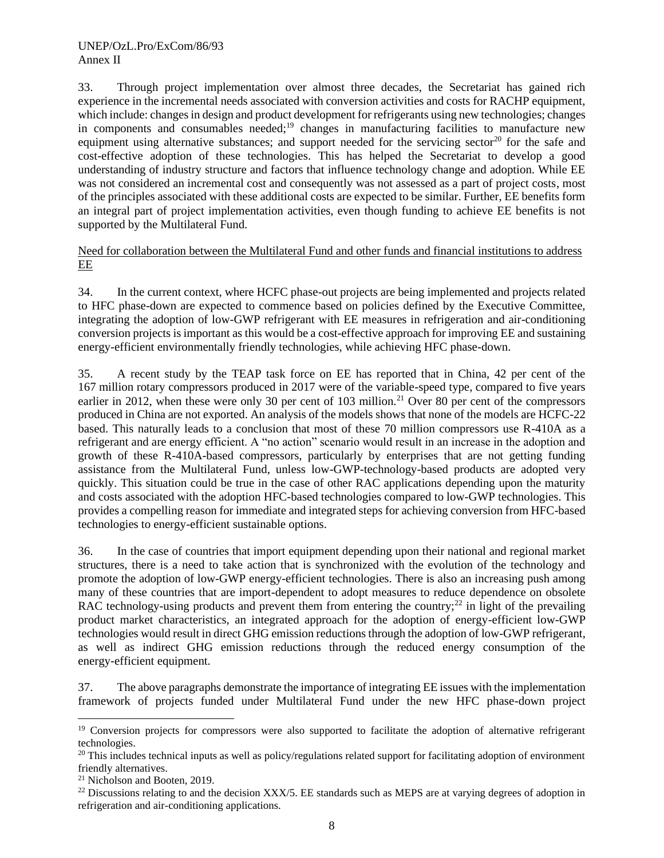33. Through project implementation over almost three decades, the Secretariat has gained rich experience in the incremental needs associated with conversion activities and costs for RACHP equipment, which include: changes in design and product development for refrigerants using new technologies; changes in components and consumables needed;<sup>19</sup> changes in manufacturing facilities to manufacture new equipment using alternative substances; and support needed for the servicing sector<sup>20</sup> for the safe and cost-effective adoption of these technologies. This has helped the Secretariat to develop a good understanding of industry structure and factors that influence technology change and adoption. While EE was not considered an incremental cost and consequently was not assessed as a part of project costs, most of the principles associated with these additional costs are expected to be similar. Further, EE benefits form an integral part of project implementation activities, even though funding to achieve EE benefits is not supported by the Multilateral Fund.

#### Need for collaboration between the Multilateral Fund and other funds and financial institutions to address EE

34. In the current context, where HCFC phase-out projects are being implemented and projects related to HFC phase-down are expected to commence based on policies defined by the Executive Committee, integrating the adoption of low-GWP refrigerant with EE measures in refrigeration and air-conditioning conversion projects is important as this would be a cost-effective approach for improving EE and sustaining energy-efficient environmentally friendly technologies, while achieving HFC phase-down.

35. A recent study by the TEAP task force on EE has reported that in China, 42 per cent of the 167 million rotary compressors produced in 2017 were of the variable-speed type, compared to five years earlier in 2012, when these were only 30 per cent of 103 million.<sup>21</sup> Over 80 per cent of the compressors produced in China are not exported. An analysis of the models shows that none of the models are HCFC-22 based. This naturally leads to a conclusion that most of these 70 million compressors use R-410A as a refrigerant and are energy efficient. A "no action" scenario would result in an increase in the adoption and growth of these R-410A-based compressors, particularly by enterprises that are not getting funding assistance from the Multilateral Fund, unless low-GWP-technology-based products are adopted very quickly. This situation could be true in the case of other RAC applications depending upon the maturity and costs associated with the adoption HFC-based technologies compared to low-GWP technologies. This provides a compelling reason for immediate and integrated steps for achieving conversion from HFC-based technologies to energy-efficient sustainable options.

36. In the case of countries that import equipment depending upon their national and regional market structures, there is a need to take action that is synchronized with the evolution of the technology and promote the adoption of low-GWP energy-efficient technologies. There is also an increasing push among many of these countries that are import-dependent to adopt measures to reduce dependence on obsolete RAC technology-using products and prevent them from entering the country;<sup>22</sup> in light of the prevailing product market characteristics, an integrated approach for the adoption of energy-efficient low-GWP technologies would result in direct GHG emission reductions through the adoption of low-GWP refrigerant, as well as indirect GHG emission reductions through the reduced energy consumption of the energy-efficient equipment.

37. The above paragraphs demonstrate the importance of integrating EE issues with the implementation framework of projects funded under Multilateral Fund under the new HFC phase-down project

<sup>&</sup>lt;sup>19</sup> Conversion projects for compressors were also supported to facilitate the adoption of alternative refrigerant technologies.

 $^{20}$  This includes technical inputs as well as policy/regulations related support for facilitating adoption of environment friendly alternatives.

<sup>21</sup> Nicholson and Booten, 2019.

<sup>&</sup>lt;sup>22</sup> Discussions relating to and the decision XXX/5. EE standards such as MEPS are at varying degrees of adoption in refrigeration and air-conditioning applications.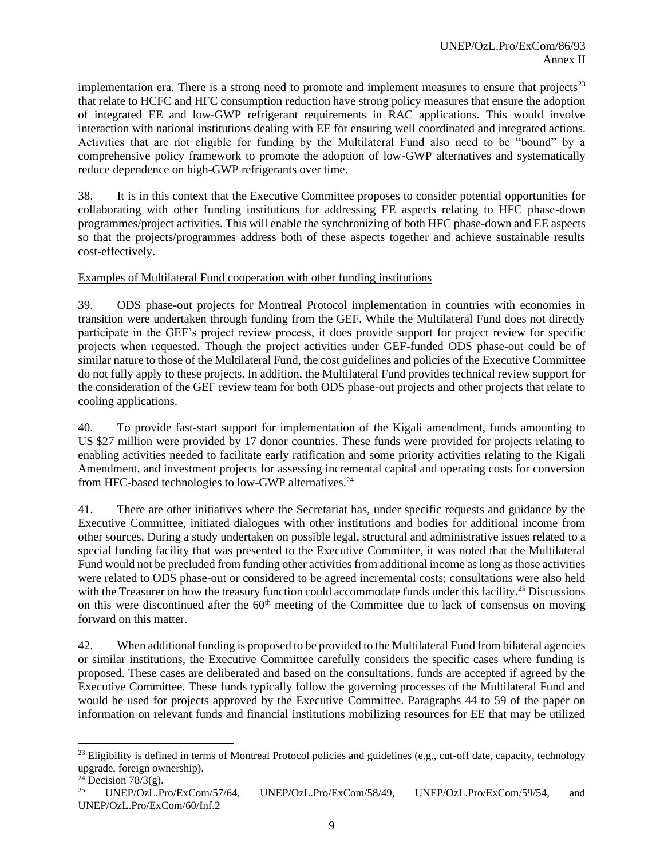implementation era. There is a strong need to promote and implement measures to ensure that projects $2<sup>3</sup>$ that relate to HCFC and HFC consumption reduction have strong policy measures that ensure the adoption of integrated EE and low-GWP refrigerant requirements in RAC applications. This would involve interaction with national institutions dealing with EE for ensuring well coordinated and integrated actions. Activities that are not eligible for funding by the Multilateral Fund also need to be "bound" by a comprehensive policy framework to promote the adoption of low-GWP alternatives and systematically reduce dependence on high-GWP refrigerants over time.

38. It is in this context that the Executive Committee proposes to consider potential opportunities for collaborating with other funding institutions for addressing EE aspects relating to HFC phase-down programmes/project activities. This will enable the synchronizing of both HFC phase-down and EE aspects so that the projects/programmes address both of these aspects together and achieve sustainable results cost-effectively.

## Examples of Multilateral Fund cooperation with other funding institutions

39. ODS phase-out projects for Montreal Protocol implementation in countries with economies in transition were undertaken through funding from the GEF. While the Multilateral Fund does not directly participate in the GEF's project review process, it does provide support for project review for specific projects when requested. Though the project activities under GEF-funded ODS phase-out could be of similar nature to those of the Multilateral Fund, the cost guidelines and policies of the Executive Committee do not fully apply to these projects. In addition, the Multilateral Fund provides technical review support for the consideration of the GEF review team for both ODS phase-out projects and other projects that relate to cooling applications.

40. To provide fast-start support for implementation of the Kigali amendment, funds amounting to US \$27 million were provided by 17 donor countries. These funds were provided for projects relating to enabling activities needed to facilitate early ratification and some priority activities relating to the Kigali Amendment, and investment projects for assessing incremental capital and operating costs for conversion from HFC-based technologies to low-GWP alternatives.<sup>24</sup>

41. There are other initiatives where the Secretariat has, under specific requests and guidance by the Executive Committee, initiated dialogues with other institutions and bodies for additional income from other sources. During a study undertaken on possible legal, structural and administrative issues related to a special funding facility that was presented to the Executive Committee, it was noted that the Multilateral Fund would not be precluded from funding other activities from additional income as long as those activities were related to ODS phase-out or considered to be agreed incremental costs; consultations were also held with the Treasurer on how the treasury function could accommodate funds under this facility.<sup>25</sup> Discussions on this were discontinued after the 60<sup>th</sup> meeting of the Committee due to lack of consensus on moving forward on this matter.

42. When additional funding is proposed to be provided to the Multilateral Fund from bilateral agencies or similar institutions, the Executive Committee carefully considers the specific cases where funding is proposed. These cases are deliberated and based on the consultations, funds are accepted if agreed by the Executive Committee. These funds typically follow the governing processes of the Multilateral Fund and would be used for projects approved by the Executive Committee. Paragraphs 44 to 59 of the paper on information on relevant funds and financial institutions mobilizing resources for EE that may be utilized

 $^{23}$  Eligibility is defined in terms of Montreal Protocol policies and guidelines (e.g., cut-off date, capacity, technology upgrade, foreign ownership).

 $24$  Decision 78/3(g).

<sup>25</sup> UNEP/OzL.Pro/ExCom/57/64, UNEP/OzL.Pro/ExCom/58/49, UNEP/OzL.Pro/ExCom/59/54, and UNEP/OzL.Pro/ExCom/60/Inf.2